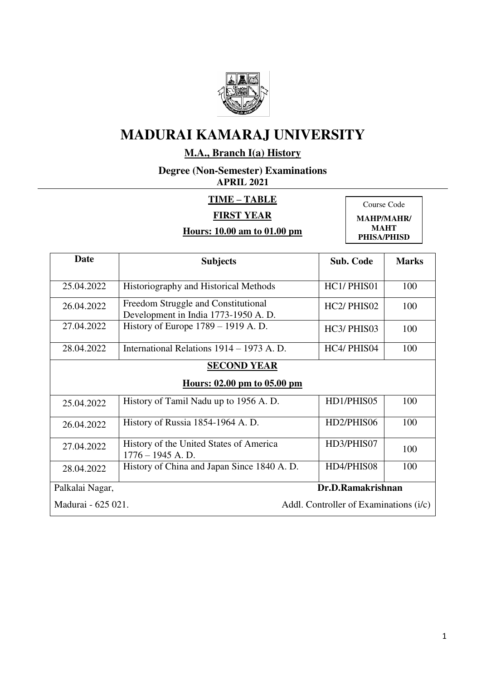

## **M.A., Branch I(a) History**

**Degree (Non-Semester) Examinations APRIL 2021** 

#### **TIME – TABLE**

### **FIRST YEAR**

## **Hours: 10.00 am to 01.00 pm**

Course Code **MAHP/MAHR/** 

**MAHT PHISA/PHISD** 

| Date                                                         | <b>Subjects</b>                                                            | <b>Sub. Code</b> | <b>Marks</b> |
|--------------------------------------------------------------|----------------------------------------------------------------------------|------------------|--------------|
|                                                              |                                                                            |                  |              |
| 25.04.2022                                                   | Historiography and Historical Methods                                      | HC1/PHIS01       | 100          |
| 26.04.2022                                                   | Freedom Struggle and Constitutional<br>Development in India 1773-1950 A.D. | HC2/PHIS02       | 100          |
| 27.04.2022                                                   | History of Europe $1789 - 1919$ A. D.                                      | HC3/PHIS03       | 100          |
| 28.04.2022                                                   | International Relations 1914 – 1973 A. D.                                  | HC4/ PHIS04      | 100          |
|                                                              | <b>SECOND YEAR</b>                                                         |                  |              |
|                                                              | Hours: 02.00 pm to 05.00 pm                                                |                  |              |
| 25.04.2022                                                   | History of Tamil Nadu up to 1956 A.D.                                      | HD1/PHIS05       | 100          |
| 26.04.2022                                                   | History of Russia 1854-1964 A.D.                                           | HD2/PHIS06       | 100          |
| 27.04.2022                                                   | History of the United States of America<br>$1776 - 1945$ A.D.              | HD3/PHIS07       | 100          |
| 28.04.2022                                                   | History of China and Japan Since 1840 A.D.                                 | HD4/PHIS08       | 100          |
| Palkalai Nagar,                                              | Dr.D.Ramakrishnan                                                          |                  |              |
| Madurai - 625 021.<br>Addl. Controller of Examinations (i/c) |                                                                            |                  |              |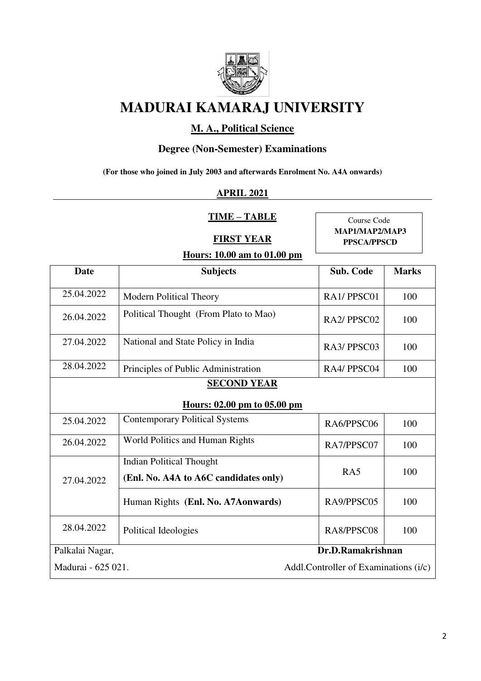

## **M. A., Political Science**

## **Degree (Non-Semester) Examinations**

**(For those who joined in July 2003 and afterwards Enrolment No. A4A onwards)**

#### **APRIL 2021**

**TIME – TABLE** 

**FIRST YEAR** 

Course Code **MAP1/MAP2/MAP3 PPSCA/PPSCD**

| <b>Date</b>                                                 | <b>Subjects</b>                                                          | <b>Sub. Code</b> | <b>Marks</b> |
|-------------------------------------------------------------|--------------------------------------------------------------------------|------------------|--------------|
| 25.04.2022                                                  | <b>Modern Political Theory</b>                                           | RA1/PPSC01       | 100          |
| 26.04.2022                                                  | Political Thought (From Plato to Mao)                                    | RA2/PPSC02       | 100          |
| 27.04.2022                                                  | National and State Policy in India                                       | RA3/PPSC03       | 100          |
| 28.04.2022                                                  | Principles of Public Administration                                      | RA4/PPSC04       | 100          |
|                                                             | <b>SECOND YEAR</b>                                                       |                  |              |
|                                                             | Hours: 02.00 pm to 05.00 pm                                              |                  |              |
| 25.04.2022                                                  | <b>Contemporary Political Systems</b>                                    | RA6/PPSC06       | 100          |
| 26.04.2022                                                  | World Politics and Human Rights                                          | RA7/PPSC07       | 100          |
| 27.04.2022                                                  | <b>Indian Political Thought</b><br>(Enl. No. A4A to A6C candidates only) | RA5              | 100          |
|                                                             | Human Rights (Enl. No. A7Aonwards)                                       | RA9/PPSC05       | 100          |
| 28.04.2022                                                  | Political Ideologies                                                     | RA8/PPSC08       | 100          |
| Palkalai Nagar,                                             | Dr.D.Ramakrishnan                                                        |                  |              |
| Madurai - 625 021.<br>Addl.Controller of Examinations (i/c) |                                                                          |                  |              |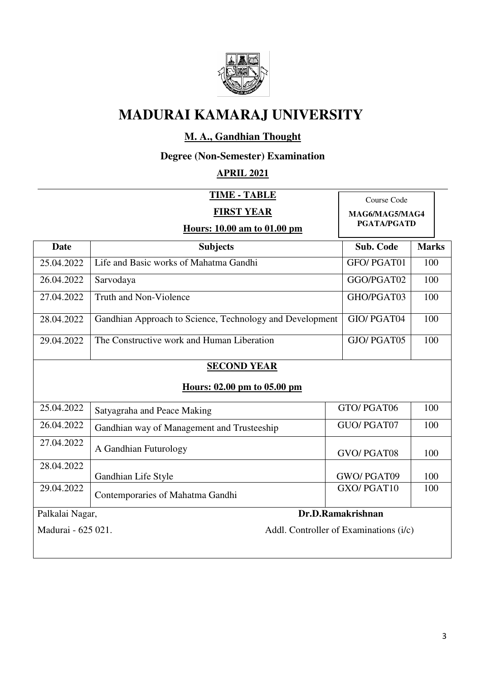

## **M. A., Gandhian Thought**

## **Degree (Non-Semester) Examination**

### **APRIL 2021**

|                                                              | Course Code<br>MAG6/MAG5/MAG4<br><b>PGATA/PGATD</b>      |                   |              |
|--------------------------------------------------------------|----------------------------------------------------------|-------------------|--------------|
| <b>Date</b>                                                  | <b>Subjects</b>                                          | <b>Sub. Code</b>  | <b>Marks</b> |
| 25.04.2022                                                   | Life and Basic works of Mahatma Gandhi                   | GFO/PGAT01        | 100          |
| 26.04.2022                                                   | Sarvodaya                                                | GGO/PGAT02        | 100          |
| 27.04.2022                                                   | <b>Truth and Non-Violence</b>                            | GHO/PGAT03        | 100          |
| 28.04.2022                                                   | Gandhian Approach to Science, Technology and Development | GIO/PGAT04        | 100          |
| 29.04.2022                                                   | The Constructive work and Human Liberation               | GJO/PGAT05        | 100          |
|                                                              | <b>SECOND YEAR</b><br>Hours: 02.00 pm to 05.00 pm        |                   |              |
| 25.04.2022                                                   | Satyagraha and Peace Making                              | GTO/PGAT06        | 100          |
| 26.04.2022                                                   | Gandhian way of Management and Trusteeship               | GUO/PGAT07        | 100          |
| 27.04.2022                                                   | A Gandhian Futurology                                    | GVO/PGAT08        | 100          |
| 28.04.2022                                                   | Gandhian Life Style                                      | GWO/PGAT09        | 100          |
| 29.04.2022                                                   | Contemporaries of Mahatma Gandhi                         | GXO/PGAT10        | 100          |
| Palkalai Nagar,                                              |                                                          | Dr.D.Ramakrishnan |              |
| Madurai - 625 021.<br>Addl. Controller of Examinations (i/c) |                                                          |                   |              |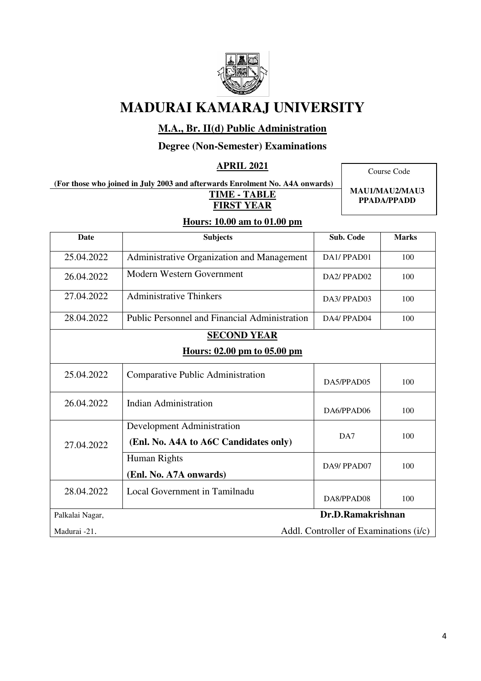

## **M.A., Br. II(d) Public Administration**

### **Degree (Non-Semester) Examinations**

#### **APRIL 2021**

**(For those who joined in July 2003 and afterwards Enrolment No. A4A onwards) TIME - TABLE FIRST YEAR** 

Course Code

**MAU1/MAU2/MAU3 PPADA/PPADD**

| <b>Date</b>     | <b>Subjects</b>                               | <b>Sub. Code</b>                       | <b>Marks</b> |
|-----------------|-----------------------------------------------|----------------------------------------|--------------|
| 25.04.2022      | Administrative Organization and Management    | DA1/PPAD01                             | 100          |
| 26.04.2022      | Modern Western Government                     | DA2/PPAD02                             | 100          |
| 27.04.2022      | <b>Administrative Thinkers</b>                | DA3/PPAD03                             | 100          |
| 28.04.2022      | Public Personnel and Financial Administration | DA4/PPAD04                             | 100          |
|                 | <b>SECOND YEAR</b>                            |                                        |              |
|                 | Hours: 02.00 pm to 05.00 pm                   |                                        |              |
| 25.04.2022      | Comparative Public Administration             | DA5/PPAD05                             | 100          |
| 26.04.2022      | <b>Indian Administration</b>                  | DA6/PPAD06                             | 100          |
|                 | Development Administration                    |                                        |              |
| 27.04.2022      | (Enl. No. A4A to A6C Candidates only)         | DA7                                    | 100          |
|                 | Human Rights                                  | DA9/PPAD07                             | 100          |
|                 | (Enl. No. A7A onwards)                        |                                        |              |
| 28.04.2022      | Local Government in Tamilnadu                 | DA8/PPAD08                             | 100          |
| Palkalai Nagar, |                                               | Dr.D.Ramakrishnan                      |              |
| Madurai -21.    |                                               | Addl. Controller of Examinations (i/c) |              |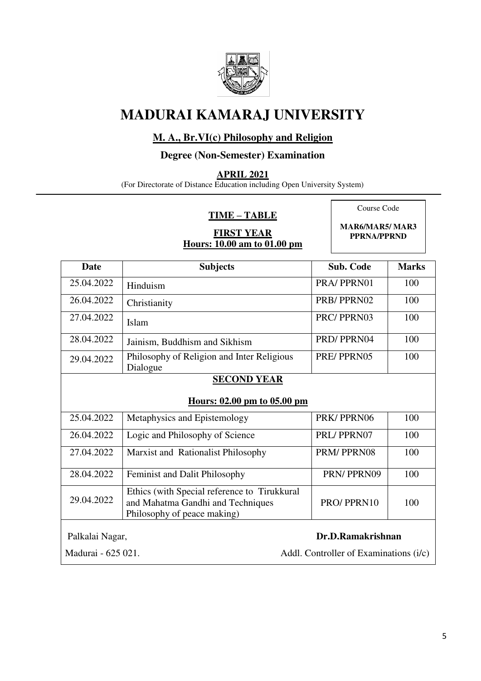

### **M. A., Br.VI(c) Philosophy and Religion**

#### **Degree (Non-Semester) Examination**

**APRIL 2021** 

(For Directorate of Distance Education including Open University System)

#### **TIME – TABLE**

**FIRST YEAR Hours: 10.00 am to 01.00 pm**  Course Code

**MAR6/MAR5/ MAR3 PPRNA/PPRND**

| <b>Date</b>                          | <b>Subjects</b>                                                                                                  | <b>Sub. Code</b>                       | <b>Marks</b> |
|--------------------------------------|------------------------------------------------------------------------------------------------------------------|----------------------------------------|--------------|
| 25.04.2022                           | Hinduism                                                                                                         | PRA/PPRN01                             | 100          |
| 26.04.2022                           | Christianity                                                                                                     | PRB/PPRN02                             | 100          |
| 27.04.2022                           | Islam                                                                                                            | PRC/PPRN03                             | 100          |
| 28.04.2022                           | Jainism, Buddhism and Sikhism                                                                                    | PRD/PPRN04                             | 100          |
| 29.04.2022                           | Philosophy of Religion and Inter Religious<br>Dialogue                                                           | PRE/PPRN05                             | 100          |
|                                      | <b>SECOND YEAR</b>                                                                                               |                                        |              |
|                                      | Hours: 02.00 pm to 05.00 pm                                                                                      |                                        |              |
| 25.04.2022                           | Metaphysics and Epistemology                                                                                     | PRK/PPRN06                             | 100          |
| 26.04.2022                           | Logic and Philosophy of Science                                                                                  | PRL/PPRN07                             | 100          |
| 27.04.2022                           | Marxist and Rationalist Philosophy                                                                               | PRM/PPRN08                             | 100          |
| 28.04.2022                           | Feminist and Dalit Philosophy                                                                                    | PRN/PPRN09                             | 100          |
| 29.04.2022                           | Ethics (with Special reference to Tirukkural<br>and Mahatma Gandhi and Techniques<br>Philosophy of peace making) | PRO/PPRN10                             | 100          |
| Dr.D.Ramakrishnan<br>Palkalai Nagar, |                                                                                                                  |                                        |              |
| Madurai - 625 021.                   |                                                                                                                  | Addl. Controller of Examinations (i/c) |              |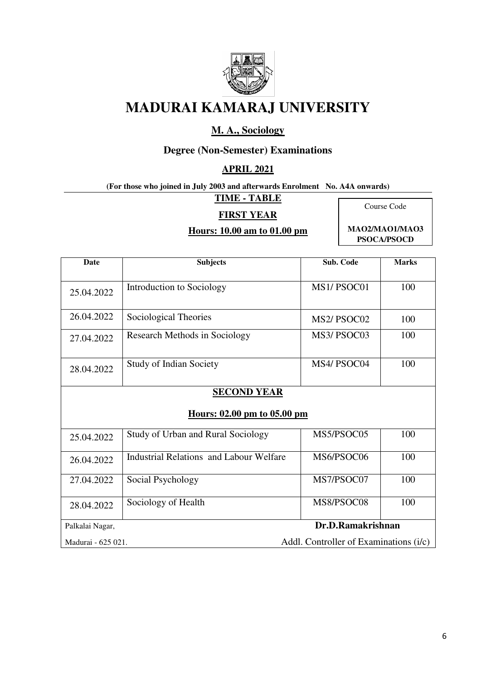

## **M. A., Sociology**

## **Degree (Non-Semester) Examinations**

#### **APRIL 2021**

**(For those who joined in July 2003 and afterwards Enrolment No. A4A onwards)** 

**TIME - TABLE** 

#### **FIRST YEAR**

#### **Hours: 10.00 am to 01.00 pm**

Course Code

**MAO2/MAO1/MAO3 PSOCA/PSOCD**

| <b>Date</b>                                                  | <b>Subjects</b>                                | Sub. Code                            | <b>Marks</b> |  |
|--------------------------------------------------------------|------------------------------------------------|--------------------------------------|--------------|--|
| 25.04.2022                                                   | Introduction to Sociology                      | MS1/PSOC01                           | 100          |  |
| 26.04.2022                                                   | Sociological Theories                          | MS <sub>2</sub> /PSO <sub>C</sub> 02 | 100          |  |
| 27.04.2022                                                   | <b>Research Methods in Sociology</b>           | MS3/PSOC03                           | 100          |  |
| 28.04.2022                                                   | <b>Study of Indian Society</b>                 | MS4/PSOC04                           | 100          |  |
|                                                              | <b>SECOND YEAR</b>                             |                                      |              |  |
|                                                              | Hours: 02.00 pm to 05.00 pm                    |                                      |              |  |
| 25.04.2022                                                   | <b>Study of Urban and Rural Sociology</b>      | MS5/PSOC05                           | 100          |  |
| 26.04.2022                                                   | <b>Industrial Relations and Labour Welfare</b> | MS6/PSOC06                           | 100          |  |
| 27.04.2022                                                   | Social Psychology                              | MS7/PSOC07                           | 100          |  |
| 28.04.2022                                                   | Sociology of Health                            | MS8/PSOC08                           | 100          |  |
| Palkalai Nagar,                                              | Dr.D.Ramakrishnan                              |                                      |              |  |
| Addl. Controller of Examinations (i/c)<br>Madurai - 625 021. |                                                |                                      |              |  |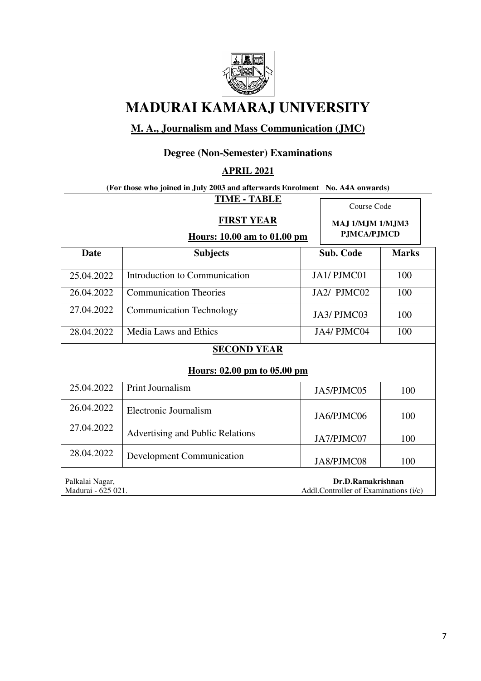

## **M. A., Journalism and Mass Communication (JMC)**

## **Degree (Non-Semester) Examinations**

#### **APRIL 2021**

#### **(For those who joined in July 2003 and afterwards Enrolment No. A4A onwards) TIME - TABLE**

|                                       | TIME - TABLE<br><b>FIRST YEAR</b>                 |  | Course Code<br>MAJ 1/MJM 1/MJM3                            |     |
|---------------------------------------|---------------------------------------------------|--|------------------------------------------------------------|-----|
|                                       | <b>PJMCA/PJMCD</b><br>Hours: 10.00 am to 01.00 pm |  |                                                            |     |
| <b>Date</b>                           | <b>Subjects</b>                                   |  | <b>Sub. Code</b><br><b>Marks</b>                           |     |
| 25.04.2022                            | Introduction to Communication                     |  | JA1/PJMC01                                                 | 100 |
| 26.04.2022                            | <b>Communication Theories</b>                     |  | JA2/ PJMC02                                                | 100 |
| 27.04.2022                            | <b>Communication Technology</b>                   |  | JA3/PJMC03<br>100                                          |     |
| 28.04.2022                            | <b>Media Laws and Ethics</b>                      |  | 100<br>JA4/ PJMC04                                         |     |
|                                       | <b>SECOND YEAR</b>                                |  |                                                            |     |
|                                       | Hours: 02.00 pm to 05.00 pm                       |  |                                                            |     |
| 25.04.2022                            | Print Journalism                                  |  | JA5/PJMC05                                                 | 100 |
| 26.04.2022                            | Electronic Journalism                             |  | JA6/PJMC06                                                 | 100 |
| 27.04.2022                            | Advertising and Public Relations                  |  | JA7/PJMC07                                                 | 100 |
| 28.04.2022                            | Development Communication                         |  | JA8/PJMC08<br>100                                          |     |
| Palkalai Nagar,<br>Madurai - 625 021. |                                                   |  | Dr.D.Ramakrishnan<br>Addl.Controller of Examinations (i/c) |     |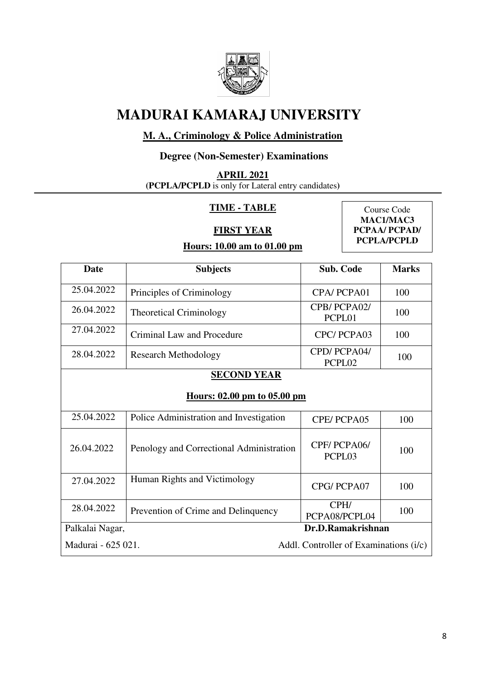

## **M. A., Criminology & Police Administration**

## **Degree (Non-Semester) Examinations**

**APRIL 2021** 

**(PCPLA/PCPLD** is only for Lateral entry candidates**)** 

#### **TIME - TABLE**

**FIRST YEAR** 

Course Code **MAC1/MAC3 PCPAA/ PCPAD/ PCPLA/PCPLD** 

| <b>Date</b>                                                  | <b>Subjects</b>                          | Sub. Code             | <b>Marks</b> |  |
|--------------------------------------------------------------|------------------------------------------|-----------------------|--------------|--|
| 25.04.2022                                                   | Principles of Criminology                | CPA/PCPA01            | 100          |  |
| 26.04.2022                                                   | <b>Theoretical Criminology</b>           | CPB/PCPA02/<br>PCPL01 | 100          |  |
| 27.04.2022                                                   | Criminal Law and Procedure               | CPC/PCPA03            | 100          |  |
| 28.04.2022                                                   | <b>Research Methodology</b>              | CPD/PCPA04/<br>PCPL02 | 100          |  |
|                                                              | <b>SECOND YEAR</b>                       |                       |              |  |
|                                                              | Hours: 02.00 pm to 05.00 pm              |                       |              |  |
| 25.04.2022                                                   | Police Administration and Investigation  | CPE/PCPA05            | 100          |  |
| 26.04.2022                                                   | Penology and Correctional Administration | CPF/PCPA06/<br>PCPL03 | 100          |  |
| 27.04.2022                                                   | Human Rights and Victimology             | CPG/PCPA07            | 100          |  |
| 28.04.2022                                                   | Prevention of Crime and Delinquency      | CPH/<br>PCPA08/PCPL04 | 100          |  |
| Palkalai Nagar,                                              |                                          | Dr.D.Ramakrishnan     |              |  |
| Madurai - 625 021.<br>Addl. Controller of Examinations (i/c) |                                          |                       |              |  |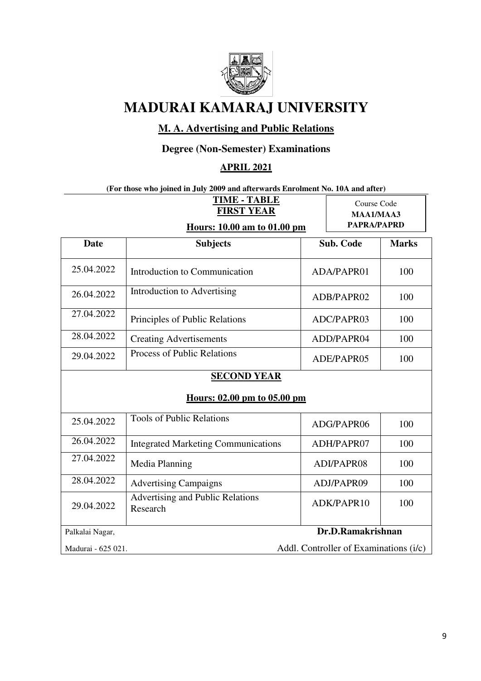

## **M. A. Advertising and Public Relations**

## **Degree (Non-Semester) Examinations**

### **APRIL 2021**

#### **(For those who joined in July 2009 and afterwards Enrolment No. 10A and after)**

|                    | <b>TIME - TABLE</b><br><b>FIRST YEAR</b><br>Hours: 10.00 am to 01.00 pm | Course Code<br>MAA1/MAA3<br>PAPRA/PAPRD |              |
|--------------------|-------------------------------------------------------------------------|-----------------------------------------|--------------|
| <b>Date</b>        | <b>Subjects</b>                                                         | <b>Sub. Code</b>                        | <b>Marks</b> |
| 25.04.2022         | Introduction to Communication                                           | ADA/PAPR01                              | 100          |
| 26.04.2022         | Introduction to Advertising                                             | ADB/PAPR02                              | 100          |
| 27.04.2022         | Principles of Public Relations                                          | ADC/PAPR03                              | 100          |
| 28.04.2022         | <b>Creating Advertisements</b>                                          | ADD/PAPR04                              | 100          |
| 29.04.2022         | Process of Public Relations                                             | ADE/PAPR05                              | 100          |
|                    | <b>SECOND YEAR</b><br>Hours: 02.00 pm to 05.00 pm                       |                                         |              |
| 25.04.2022         | <b>Tools of Public Relations</b>                                        | ADG/PAPR06                              | 100          |
| 26.04.2022         | <b>Integrated Marketing Communications</b>                              | ADH/PAPR07                              | 100          |
| 27.04.2022         | Media Planning                                                          | ADI/PAPR08                              | 100          |
| 28.04.2022         | <b>Advertising Campaigns</b>                                            | ADJ/PAPR09                              | 100          |
| 29.04.2022         | Advertising and Public Relations<br>Research                            | ADK/PAPR10                              | 100          |
| Palkalai Nagar,    |                                                                         | Dr.D.Ramakrishnan                       |              |
| Madurai - 625 021. |                                                                         | Addl. Controller of Examinations (i/c)  |              |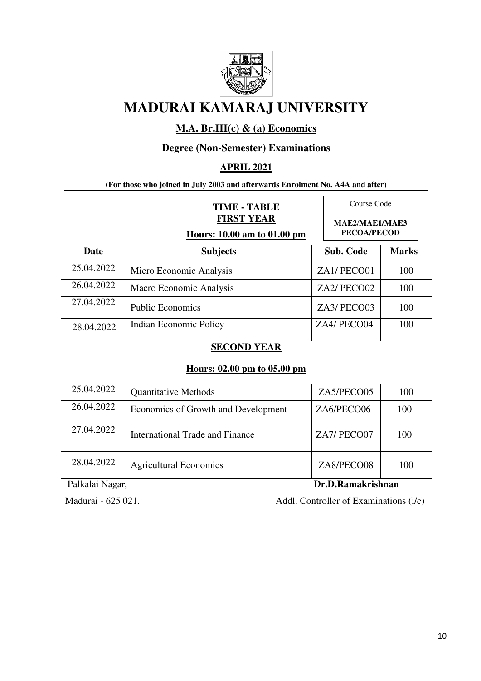

### **M.A. Br.III(c) & (a) Economics**

## **Degree (Non-Semester) Examinations**

#### **APRIL 2021**

#### **(For those who joined in July 2003 and afterwards Enrolment No. A4A and after)**

| <b>TIME - TABLE</b><br><b>FIRST YEAR</b> |                                                          | Course Code<br>MAE2/MAE1/MAE3          |                    |
|------------------------------------------|----------------------------------------------------------|----------------------------------------|--------------------|
|                                          | Hours: 10.00 am to 01.00 pm                              |                                        | <b>PECOA/PECOD</b> |
| <b>Date</b>                              | <b>Subjects</b>                                          | Sub. Code                              | <b>Marks</b>       |
| 25.04.2022                               | Micro Economic Analysis                                  | ZA1/PECO01                             | 100                |
| 26.04.2022                               | Macro Economic Analysis                                  | ZA2/PECO02                             | 100                |
| 27.04.2022                               | <b>Public Economics</b>                                  | ZA3/PECO03                             | 100                |
| 28.04.2022                               | <b>Indian Economic Policy</b>                            | ZA4/ PECO04                            | 100                |
|                                          | <b>SECOND YEAR</b><br><u>Hours: 02.00 pm to 05.00 pm</u> |                                        |                    |
| 25.04.2022                               | <b>Quantitative Methods</b>                              | ZA5/PECO05                             | 100                |
| 26.04.2022                               | Economics of Growth and Development                      | ZA6/PECO06                             | 100                |
| 27.04.2022                               | International Trade and Finance                          | ZA7/PECO07                             | 100                |
| 28.04.2022                               | <b>Agricultural Economics</b>                            | ZA8/PECO08                             | 100                |
|                                          | Dr.D.Ramakrishnan<br>Palkalai Nagar,                     |                                        |                    |
| Madurai - 625 021.                       |                                                          | Addl. Controller of Examinations (i/c) |                    |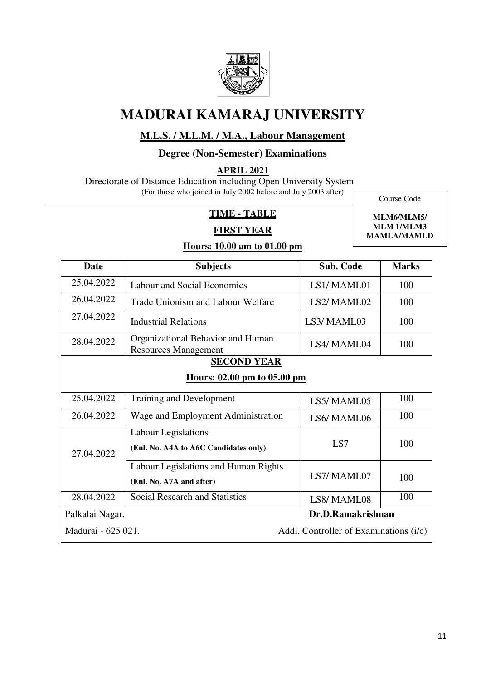

## **M.L.S. / M.L.M. / M.A., Labour Management**

#### **Degree (Non-Semester) Examinations**

**APRIL 2021** 

 Directorate of Distance Education including Open University System (For those who joined in July 2002 before and July 2003 after)

Course Code

### **TIME - TABLE**

#### **FIRST YEAR**

**MLM6/MLM5/ MLM 1/MLM3 MAMLA/MAMLD** 

L

| <b>Date</b>                                       | <b>Subjects</b>                                                     | <b>Sub. Code</b>                       | <b>Marks</b> |  |
|---------------------------------------------------|---------------------------------------------------------------------|----------------------------------------|--------------|--|
| 25.04.2022                                        | Labour and Social Economics                                         | LS1/MAML01                             | 100          |  |
| 26.04.2022                                        | Trade Unionism and Labour Welfare                                   | LS2/MAML02                             | 100          |  |
| 27.04.2022                                        | Industrial Relations                                                | LS3/MAML03                             | 100          |  |
| 28.04.2022                                        | Organizational Behavior and Human<br><b>Resources Management</b>    | LS4/ MAML04                            | 100          |  |
| <b>SECOND YEAR</b><br>Hours: 02.00 pm to 05.00 pm |                                                                     |                                        |              |  |
| 25.04.2022                                        |                                                                     |                                        | 100          |  |
|                                                   | <b>Training and Development</b>                                     | LS5/MAML05                             |              |  |
| 26.04.2022                                        | Wage and Employment Administration                                  | LS6/MAML06                             | 100          |  |
| 27.04.2022                                        | <b>Labour Legislations</b><br>(Enl. No. A4A to A6C Candidates only) | LS7                                    | 100          |  |
|                                                   | Labour Legislations and Human Rights<br>(Enl. No. A7A and after)    | LS7/MAML07                             | 100          |  |
| 28.04.2022                                        | <b>Social Research and Statistics</b>                               | LS8/MAML08                             | 100          |  |
| Palkalai Nagar,                                   |                                                                     | Dr.D.Ramakrishnan                      |              |  |
| Madurai - 625 021.                                |                                                                     | Addl. Controller of Examinations (i/c) |              |  |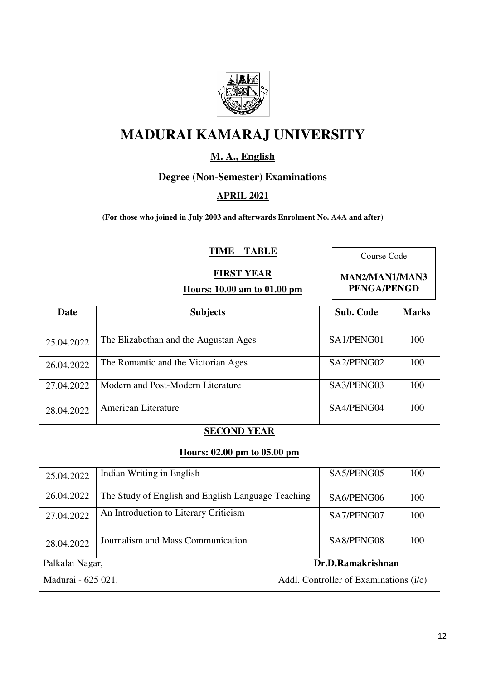

## **M. A., English**

## **Degree (Non-Semester) Examinations**

#### **APRIL 2021**

**(For those who joined in July 2003 and afterwards Enrolment No. A4A and after)** 

#### **TIME – TABLE**

Course Code

#### **FIRST YEAR**

**Hours: 10.00 am to 01.00 pm** 

**MAN2/MAN1/MAN3 PENGA/PENGD**

| <b>Date</b>                                                  | <b>Subjects</b>                                    | <b>Sub. Code</b>  | <b>Marks</b> |  |
|--------------------------------------------------------------|----------------------------------------------------|-------------------|--------------|--|
|                                                              |                                                    |                   |              |  |
| 25.04.2022                                                   | The Elizabethan and the Augustan Ages              | SA1/PENG01        | 100          |  |
| 26.04.2022                                                   | The Romantic and the Victorian Ages                | SA2/PENG02        | 100          |  |
| 27.04.2022                                                   | Modern and Post-Modern Literature                  | SA3/PENG03        | 100          |  |
| 28.04.2022                                                   | American Literature                                | SA4/PENG04        | 100          |  |
| <b>SECOND YEAR</b><br>Hours: 02.00 pm to 05.00 pm            |                                                    |                   |              |  |
| 25.04.2022                                                   | Indian Writing in English                          | SA5/PENG05        | 100          |  |
| 26.04.2022                                                   | The Study of English and English Language Teaching | SA6/PENG06        | 100          |  |
| 27.04.2022                                                   | An Introduction to Literary Criticism              | SA7/PENG07        | 100          |  |
| 28.04.2022                                                   | Journalism and Mass Communication                  | SA8/PENG08        | 100          |  |
| Palkalai Nagar,                                              |                                                    | Dr.D.Ramakrishnan |              |  |
| Madurai - 625 021.<br>Addl. Controller of Examinations (i/c) |                                                    |                   |              |  |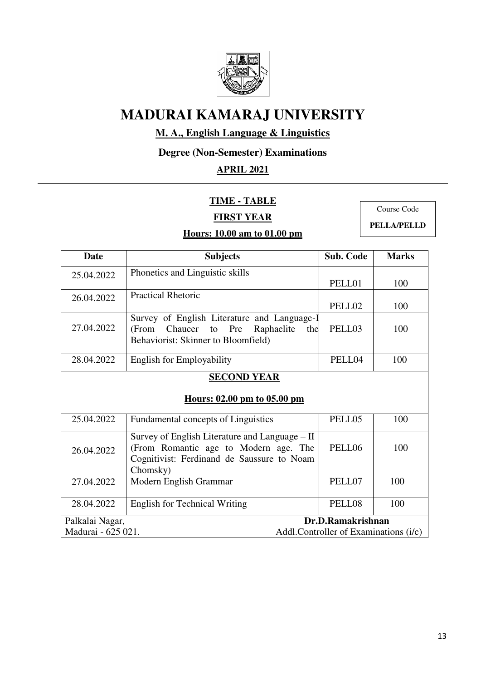

## **M. A., English Language & Linguistics**

## **Degree (Non-Semester) Examinations**

## **APRIL 2021**

#### **TIME - TABLE**

### **FIRST YEAR**

#### **Hours: 10.00 am to 01.00 pm**

Course Code

**PELLA/PELLD** 

| Date                                              | <b>Subjects</b>                                                                                                                                   | <b>Sub. Code</b>  | <b>Marks</b> |
|---------------------------------------------------|---------------------------------------------------------------------------------------------------------------------------------------------------|-------------------|--------------|
| 25.04.2022                                        | Phonetics and Linguistic skills                                                                                                                   |                   |              |
|                                                   |                                                                                                                                                   | PELL01            | 100          |
| 26.04.2022                                        | <b>Practical Rhetoric</b>                                                                                                                         |                   |              |
|                                                   |                                                                                                                                                   | PELL02            | 100          |
|                                                   | Survey of English Literature and Language-I                                                                                                       |                   |              |
| 27.04.2022                                        | to Pre Raphaelite<br>(From Chaucer)<br>the                                                                                                        | PELL03            | 100          |
|                                                   | Behaviorist: Skinner to Bloomfield)                                                                                                               |                   |              |
| 28.04.2022                                        | <b>English for Employability</b>                                                                                                                  | PELL04            | 100          |
| <b>SECOND YEAR</b><br>Hours: 02.00 pm to 05.00 pm |                                                                                                                                                   |                   |              |
| 25.04.2022                                        | Fundamental concepts of Linguistics                                                                                                               | PELL05            | 100          |
| 26.04.2022                                        | Survey of English Literature and Language – II<br>(From Romantic age to Modern age. The<br>Cognitivist: Ferdinand de Saussure to Noam<br>Chomsky) | PELL06            | 100          |
| 27.04.2022                                        | Modern English Grammar                                                                                                                            | PELL07            | 100          |
| 28.04.2022                                        | <b>English for Technical Writing</b>                                                                                                              | PELL08            | 100          |
| Palkalai Nagar,                                   |                                                                                                                                                   | Dr.D.Ramakrishnan |              |
|                                                   | Madurai - 625 021.<br>Addl.Controller of Examinations (i/c)                                                                                       |                   |              |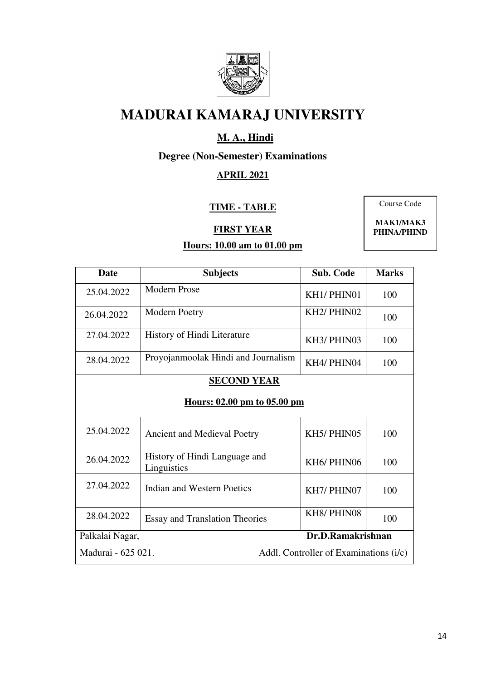

## **M. A., Hindi**

## **Degree (Non-Semester) Examinations**

## **APRIL 2021**

#### **TIME - TABLE**

**FIRST YEAR** 

Course Code

**MAK1/MAK3 PHINA/PHIND** 

| Date                                                         | <b>Subjects</b>                              | <b>Sub. Code</b>                     | <b>Marks</b> |
|--------------------------------------------------------------|----------------------------------------------|--------------------------------------|--------------|
| 25.04.2022                                                   | <b>Modern Prose</b>                          | KH1/PHIN01                           | 100          |
| 26.04.2022                                                   | Modern Poetry                                | KH <sub>2</sub> / PHIN <sub>02</sub> | 100          |
| 27.04.2022                                                   | History of Hindi Literature                  | KH3/PHIN03                           | 100          |
| 28.04.2022                                                   | Proyojanmoolak Hindi and Journalism          | KH4/PHIN04                           | 100          |
|                                                              | <b>SECOND YEAR</b>                           |                                      |              |
| Hours: 02.00 pm to 05.00 pm                                  |                                              |                                      |              |
| 25.04.2022                                                   | <b>Ancient and Medieval Poetry</b>           | KH5/PHIN05                           | 100          |
| 26.04.2022                                                   | History of Hindi Language and<br>Linguistics | KH6/PHIN06                           | 100          |
| 27.04.2022                                                   | <b>Indian and Western Poetics</b>            | KH7/PHIN07                           | 100          |
| 28.04.2022                                                   | <b>Essay and Translation Theories</b>        | KH8/PHIN08                           | 100          |
| Dr.D.Ramakrishnan<br>Palkalai Nagar,                         |                                              |                                      |              |
| Madurai - 625 021.<br>Addl. Controller of Examinations (i/c) |                                              |                                      |              |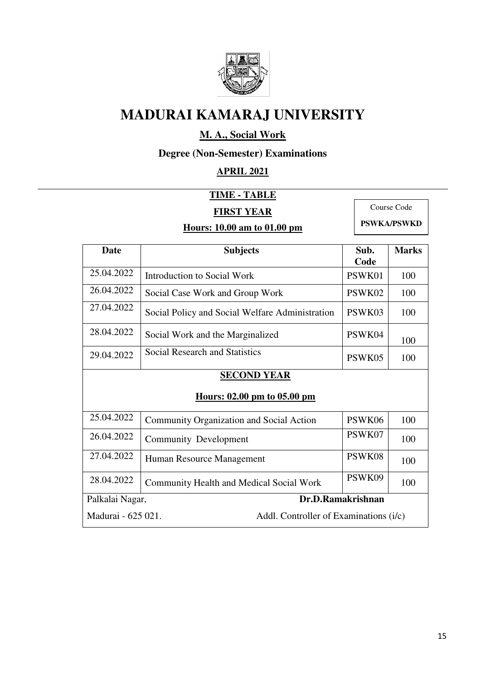

## **M. A., Social Work**

**Degree (Non-Semester) Examinations** 

## **APRIL 2021**

## **TIME - TABLE**

## **FIRST YEAR**

**Hours: 10.00 am to 01.00 pm** 

Course Code **PSWKA/PSWKD** 

| Date                                                         | <b>Subjects</b>                                 |                   | <b>Marks</b> |  |  |  |
|--------------------------------------------------------------|-------------------------------------------------|-------------------|--------------|--|--|--|
| 25.04.2022                                                   | Introduction to Social Work                     | Code<br>PSWK01    | 100          |  |  |  |
| 26.04.2022                                                   | Social Case Work and Group Work                 | PSWK02            | 100          |  |  |  |
| 27.04.2022                                                   | Social Policy and Social Welfare Administration | PSWK03            | 100          |  |  |  |
| 28.04.2022                                                   | Social Work and the Marginalized                | PSWK04            | 100          |  |  |  |
| 29.04.2022                                                   | <b>Social Research and Statistics</b>           | PSWK05            | 100          |  |  |  |
|                                                              | <b>SECOND YEAR</b>                              |                   |              |  |  |  |
|                                                              | Hours: 02.00 pm to 05.00 pm                     |                   |              |  |  |  |
| 25.04.2022                                                   | Community Organization and Social Action        | PSWK06            | 100          |  |  |  |
| 26.04.2022                                                   | <b>Community Development</b>                    | PSWK07            | 100          |  |  |  |
| 27.04.2022                                                   | Human Resource Management                       | PSWK08            | 100          |  |  |  |
| 28.04.2022                                                   | <b>Community Health and Medical Social Work</b> | PSWK09            | 100          |  |  |  |
| Palkalai Nagar,                                              |                                                 | Dr.D.Ramakrishnan |              |  |  |  |
| Madurai - 625 021.<br>Addl. Controller of Examinations (i/c) |                                                 |                   |              |  |  |  |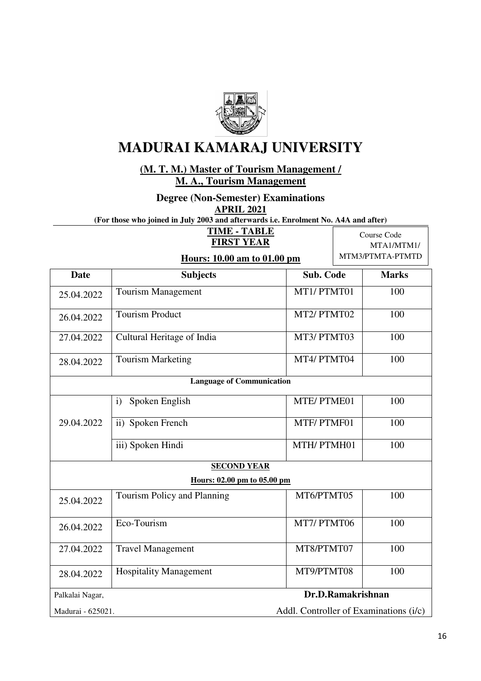

**(M. T. M.) Master of Tourism Management / M. A., Tourism Management** 

**Degree (Non-Semester) Examinations** 

**APRIL 2021** 

**(For those who joined in July 2003 and afterwards i.e. Enrolment No. A4A and after)** 

**TIME - TABLE FIRST YEAR** 

**Hours: 10.00 am to 01.00 pm** 

Course Code MTA1/MTM1/ MTM3/PTMTA-PTMTD

| <b>Date</b>       | <b>Subjects</b>                        | <b>Sub. Code</b> | <b>Marks</b> |
|-------------------|----------------------------------------|------------------|--------------|
| 25.04.2022        | <b>Tourism Management</b>              | MT1/PTMT01       | 100          |
| 26.04.2022        | <b>Tourism Product</b>                 | MT2/PTMT02       | 100          |
| 27.04.2022        | Cultural Heritage of India             | MT3/PTMT03       | 100          |
| 28.04.2022        | <b>Tourism Marketing</b>               | MT4/PTMT04       | 100          |
|                   | <b>Language of Communication</b>       |                  |              |
|                   | Spoken English<br>$\mathbf{i}$         | MTE/PTME01       | 100          |
| 29.04.2022        | ii) Spoken French                      | MTF/PTMF01       | 100          |
|                   | iii) Spoken Hindi                      | MTH/PTMH01       | 100          |
|                   | <b>SECOND YEAR</b>                     |                  |              |
|                   | Hours: 02.00 pm to 05.00 pm            |                  |              |
| 25.04.2022        | Tourism Policy and Planning            | MT6/PTMT05       | 100          |
| 26.04.2022        | Eco-Tourism                            | MT7/PTMT06       | 100          |
| 27.04.2022        | <b>Travel Management</b>               | MT8/PTMT07       | 100          |
| 28.04.2022        | <b>Hospitality Management</b>          | MT9/PTMT08       | 100          |
| Palkalai Nagar,   | Dr.D.Ramakrishnan                      |                  |              |
| Madurai - 625021. | Addl. Controller of Examinations (i/c) |                  |              |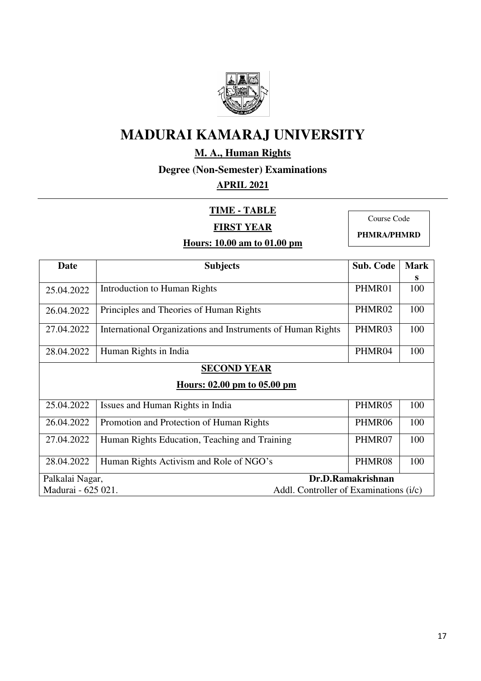

## **M. A., Human Rights**

**Degree (Non-Semester) Examinations** 

## **APRIL 2021**

## **TIME - TABLE**

**FIRST YEAR** 

Course Code

**PHMRA/PHMRD** 

| <b>Date</b>        | <b>Subjects</b>                                             | <b>Sub. Code</b>  | <b>Mark</b> |  |  |  |
|--------------------|-------------------------------------------------------------|-------------------|-------------|--|--|--|
|                    |                                                             |                   | S           |  |  |  |
| 25.04.2022         | <b>Introduction to Human Rights</b>                         | PHMR01            | 100         |  |  |  |
| 26.04.2022         | Principles and Theories of Human Rights                     | PHMR02            | 100         |  |  |  |
| 27.04.2022         | International Organizations and Instruments of Human Rights | PHMR03            | 100         |  |  |  |
| 28.04.2022         | Human Rights in India                                       | PHMR04            | 100         |  |  |  |
|                    | <b>SECOND YEAR</b>                                          |                   |             |  |  |  |
|                    | Hours: 02.00 pm to 05.00 pm                                 |                   |             |  |  |  |
| 25.04.2022         | Issues and Human Rights in India                            | PHMR05            | 100         |  |  |  |
| 26.04.2022         | Promotion and Protection of Human Rights                    | PHMR06            | 100         |  |  |  |
| 27.04.2022         | Human Rights Education, Teaching and Training               | PHMR07            | 100         |  |  |  |
| 28.04.2022         | Human Rights Activism and Role of NGO's                     | PHMR08            | 100         |  |  |  |
| Palkalai Nagar,    |                                                             | Dr.D.Ramakrishnan |             |  |  |  |
| Madurai - 625 021. | Addl. Controller of Examinations (i/c)                      |                   |             |  |  |  |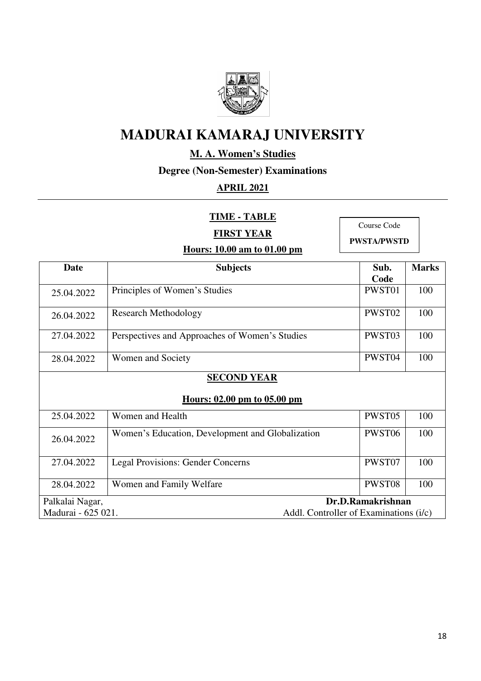

## **M. A. Women's Studies**

### **Degree (Non-Semester) Examinations**

## **APRIL 2021**

**TIME - TABLE** 

Course Code

**FIRST YEAR** 

**PWSTA/PWSTD** 

| <b>Date</b>                                                  | <b>Subjects</b>                                  | Sub.              | <b>Marks</b> |  |
|--------------------------------------------------------------|--------------------------------------------------|-------------------|--------------|--|
|                                                              |                                                  | Code              |              |  |
| 25.04.2022                                                   | Principles of Women's Studies                    | PWST01            | 100          |  |
| 26.04.2022                                                   | <b>Research Methodology</b>                      | PWST02            | 100          |  |
| 27.04.2022                                                   | Perspectives and Approaches of Women's Studies   | PWST03            | 100          |  |
| 28.04.2022                                                   | Women and Society                                | PWST04            | 100          |  |
| <b>SECOND YEAR</b><br>Hours: 02.00 pm to 05.00 pm            |                                                  |                   |              |  |
| 25.04.2022                                                   | Women and Health                                 | PWST05            | 100          |  |
| 26.04.2022                                                   | Women's Education, Development and Globalization | PWST06            | 100          |  |
| 27.04.2022                                                   | <b>Legal Provisions: Gender Concerns</b>         | PWST07            | 100          |  |
| 28.04.2022                                                   | Women and Family Welfare                         | PWST08            | 100          |  |
| Palkalai Nagar,                                              |                                                  | Dr.D.Ramakrishnan |              |  |
| Madurai - 625 021.<br>Addl. Controller of Examinations (i/c) |                                                  |                   |              |  |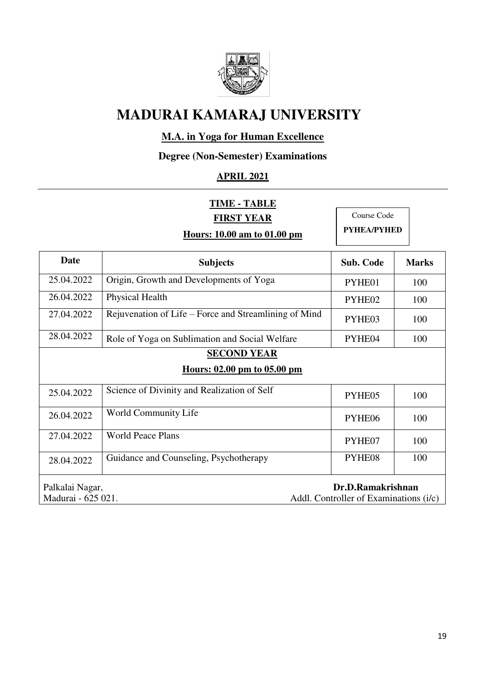

## **M.A. in Yoga for Human Excellence**

## **Degree (Non-Semester) Examinations**

## **APRIL 2021**

| <b>TIME - TABLE</b>                                          |                                                       |                  |              |  |
|--------------------------------------------------------------|-------------------------------------------------------|------------------|--------------|--|
|                                                              | <b>FIRST YEAR</b>                                     | Course Code      |              |  |
|                                                              | Hours: 10.00 am to 01.00 pm                           | PYHEA/PYHED      |              |  |
| <b>Date</b>                                                  | <b>Subjects</b>                                       | <b>Sub. Code</b> | <b>Marks</b> |  |
| 25.04.2022                                                   | Origin, Growth and Developments of Yoga               | PYHE01           | 100          |  |
| 26.04.2022                                                   | Physical Health                                       | PYHE02           | 100          |  |
| 27.04.2022                                                   | Rejuvenation of Life – Force and Streamlining of Mind | PYHE03           | 100          |  |
| 28.04.2022                                                   | Role of Yoga on Sublimation and Social Welfare        | PYHE04           | 100          |  |
| <b>SECOND YEAR</b>                                           |                                                       |                  |              |  |
|                                                              | Hours: 02.00 pm to 05.00 pm                           |                  |              |  |
| 25.04.2022                                                   | Science of Divinity and Realization of Self           | PYHE05           | 100          |  |
| 26.04.2022                                                   | World Community Life                                  | PYHE06           | 100          |  |
| 27.04.2022                                                   | <b>World Peace Plans</b>                              | PYHE07           | 100          |  |
| 28.04.2022                                                   | Guidance and Counseling, Psychotherapy                | PYHE08           | 100          |  |
| Palkalai Nagar,<br>Dr.D.Ramakrishnan                         |                                                       |                  |              |  |
| Madurai - 625 021.<br>Addl. Controller of Examinations (i/c) |                                                       |                  |              |  |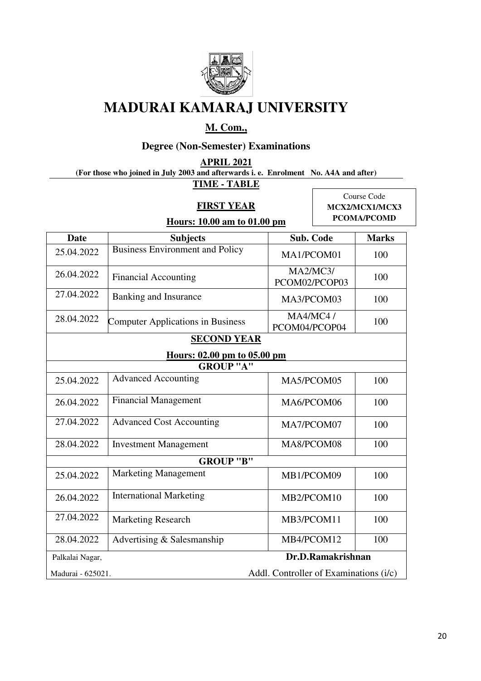

## **M. Com.,**

## **Degree (Non-Semester) Examinations**

**APRIL 2021** 

**(For those who joined in July 2003 and afterwards i. e. Enrolment No. A4A and after)** 

**TIME - TABLE** 

### **FIRST YEAR**

Course Code **MCX2/MCX1/MCX3 PCOMA/PCOMD**

| Hours: 10.00 am to 01.00 pm |  |
|-----------------------------|--|
|-----------------------------|--|

| <b>Date</b>                          | <b>Subjects</b>                          | Sub. Code                              | <b>Marks</b> |
|--------------------------------------|------------------------------------------|----------------------------------------|--------------|
| 25.04.2022                           | <b>Business Environment and Policy</b>   | MA1/PCOM01                             | 100          |
| 26.04.2022                           | <b>Financial Accounting</b>              | MA2/MC3/<br>PCOM02/PCOP03              | 100          |
| 27.04.2022                           | Banking and Insurance                    | MA3/PCOM03                             | 100          |
| 28.04.2022                           | <b>Computer Applications in Business</b> | <b>MA4/MC4/</b><br>PCOM04/PCOP04       | 100          |
|                                      | <b>SECOND YEAR</b>                       |                                        |              |
|                                      | Hours: 02.00 pm to 05.00 pm              |                                        |              |
|                                      | <b>GROUP "A"</b>                         |                                        |              |
| 25.04.2022                           | <b>Advanced Accounting</b>               | MA5/PCOM05                             | 100          |
| 26.04.2022                           | <b>Financial Management</b>              | MA6/PCOM06                             | 100          |
| 27.04.2022                           | <b>Advanced Cost Accounting</b>          | MA7/PCOM07                             | 100          |
| 28.04.2022                           | <b>Investment Management</b>             | MA8/PCOM08                             | 100          |
|                                      | GROUP "B"                                |                                        |              |
| 25.04.2022                           | <b>Marketing Management</b>              | MB1/PCOM09                             | 100          |
| 26.04.2022                           | <b>International Marketing</b>           | MB2/PCOM10                             | 100          |
| 27.04.2022                           | <b>Marketing Research</b>                | MB3/PCOM11                             | 100          |
| 28.04.2022                           | Advertising & Salesmanship               | MB4/PCOM12                             | 100          |
| Dr.D.Ramakrishnan<br>Palkalai Nagar, |                                          |                                        |              |
| Madurai - 625021.                    |                                          | Addl. Controller of Examinations (i/c) |              |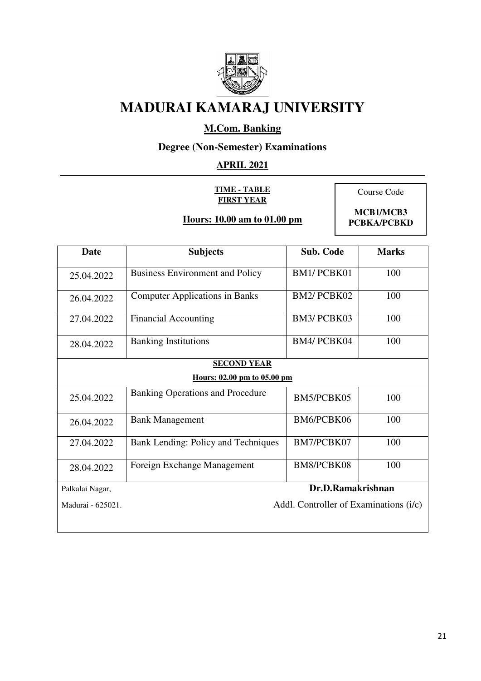

## **M.Com. Banking**

## **Degree (Non-Semester) Examinations**

## **APRIL 2021**

#### **TIME - TABLE FIRST YEAR**

**Hours: 10.00 am to 01.00 pm** 

Course Code

**MCB1/MCB3 PCBKA/PCBKD** 

| Date              | <b>Subjects</b>                         | <b>Sub. Code</b>                       | <b>Marks</b> |
|-------------------|-----------------------------------------|----------------------------------------|--------------|
| 25.04.2022        | <b>Business Environment and Policy</b>  | <b>BM1/PCBK01</b>                      | 100          |
| 26.04.2022        | <b>Computer Applications in Banks</b>   | <b>BM2/PCBK02</b>                      | 100          |
| 27.04.2022        | <b>Financial Accounting</b>             | BM3/PCBK03                             | 100          |
| 28.04.2022        | <b>Banking Institutions</b>             | BM4/PCBK04                             | 100          |
|                   | <b>SECOND YEAR</b>                      |                                        |              |
|                   | Hours: 02.00 pm to 05.00 pm             |                                        |              |
| 25.04.2022        | <b>Banking Operations and Procedure</b> | BM5/PCBK05                             | 100          |
| 26.04.2022        | <b>Bank Management</b>                  | BM6/PCBK06                             | 100          |
| 27.04.2022        | Bank Lending: Policy and Techniques     | BM7/PCBK07                             | 100          |
| 28.04.2022        | Foreign Exchange Management             | BM8/PCBK08                             | 100          |
| Palkalai Nagar,   | Dr.D.Ramakrishnan                       |                                        |              |
| Madurai - 625021. |                                         | Addl. Controller of Examinations (i/c) |              |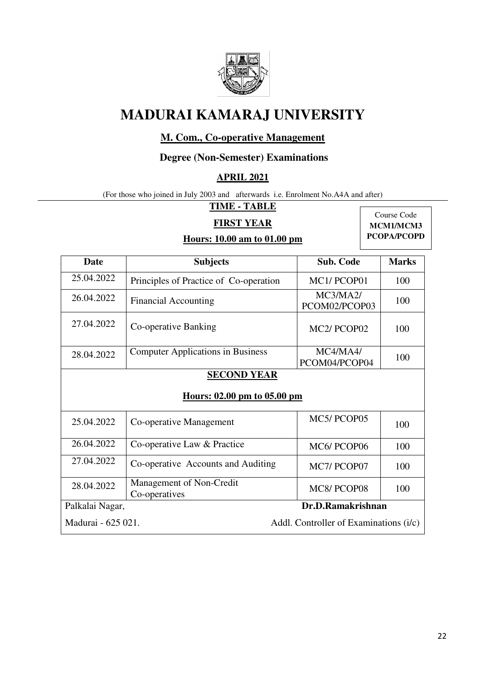

### **M. Com., Co-operative Management**

#### **Degree (Non-Semester) Examinations**

#### **APRIL 2021**

(For those who joined in July 2003 and afterwards i.e. Enrolment No.A4A and after)

## **TIME - TABLE**

**Hours: 10.00 am to 01.00 pm** 

#### **FIRST YEAR**

Course Code **MCM1/MCM3 PCOPA/PCOPD**

| <b>Date</b>        | <b>Subjects</b>                                   | <b>Sub. Code</b>                       | <b>Marks</b> |  |
|--------------------|---------------------------------------------------|----------------------------------------|--------------|--|
| 25.04.2022         | Principles of Practice of Co-operation            | MC1/PCOP01                             | 100          |  |
| 26.04.2022         | <b>Financial Accounting</b>                       | MC3/MA2/<br>PCOM02/PCOP03              | 100          |  |
| 27.04.2022         | Co-operative Banking                              | MC <sub>2</sub> /PCOP <sub>02</sub>    | 100          |  |
| 28.04.2022         | <b>Computer Applications in Business</b>          | MC4/MA4/<br>PCOM04/PCOP04              | 100          |  |
|                    | <b>SECOND YEAR</b><br>Hours: 02.00 pm to 05.00 pm |                                        |              |  |
| 25.04.2022         | Co-operative Management                           | MC5/PCOP05                             | 100          |  |
| 26.04.2022         | Co-operative Law & Practice                       | MC6/PCOP06                             | 100          |  |
| 27.04.2022         | Co-operative Accounts and Auditing                | MC7/PCOP07                             | 100          |  |
| 28.04.2022         | Management of Non-Credit<br>Co-operatives         | MC8/PCOP08                             | 100          |  |
| Palkalai Nagar,    |                                                   | Dr.D.Ramakrishnan                      |              |  |
| Madurai - 625 021. |                                                   | Addl. Controller of Examinations (i/c) |              |  |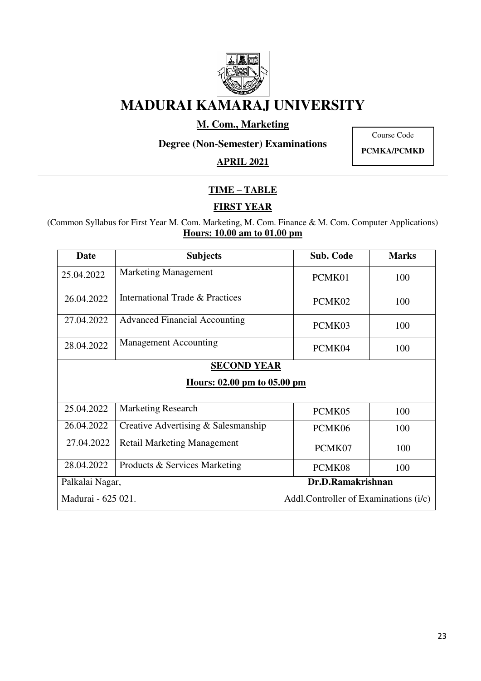

### **M. Com., Marketing**

Course Code

**Degree (Non-Semester) Examinations** 

**APRIL 2021** 

**PCMKA/PCMKD** 

## **TIME – TABLE**

## **FIRST YEAR**

(Common Syllabus for First Year M. Com. Marketing, M. Com. Finance & M. Com. Computer Applications) **Hours: 10.00 am to 01.00 pm** 

| Date                                                         | <b>Subjects</b>                      | <b>Sub. Code</b> | <b>Marks</b> |
|--------------------------------------------------------------|--------------------------------------|------------------|--------------|
| 25.04.2022                                                   | <b>Marketing Management</b>          | PCMK01           | 100          |
| 26.04.2022                                                   | International Trade & Practices      | PCMK02           | 100          |
| 27.04.2022                                                   | <b>Advanced Financial Accounting</b> | PCMK03           | 100          |
| 28.04.2022                                                   | <b>Management Accounting</b>         | PCMK04           | 100          |
| <b>SECOND YEAR</b>                                           |                                      |                  |              |
|                                                              | <u>Hours: 02.00 pm to 05.00 pm</u>   |                  |              |
|                                                              |                                      |                  |              |
| 25.04.2022                                                   | <b>Marketing Research</b>            | PCMK05           | 100          |
| 26.04.2022                                                   | Creative Advertising & Salesmanship  | PCMK06           | 100          |
| 27.04.2022                                                   | <b>Retail Marketing Management</b>   | PCMK07           | 100          |
| 28.04.2022                                                   | Products & Services Marketing        | PCMK08           | 100          |
| Dr.D.Ramakrishnan<br>Palkalai Nagar,                         |                                      |                  |              |
| Madurai - 625 021.<br>Addl. Controller of Examinations (i/c) |                                      |                  |              |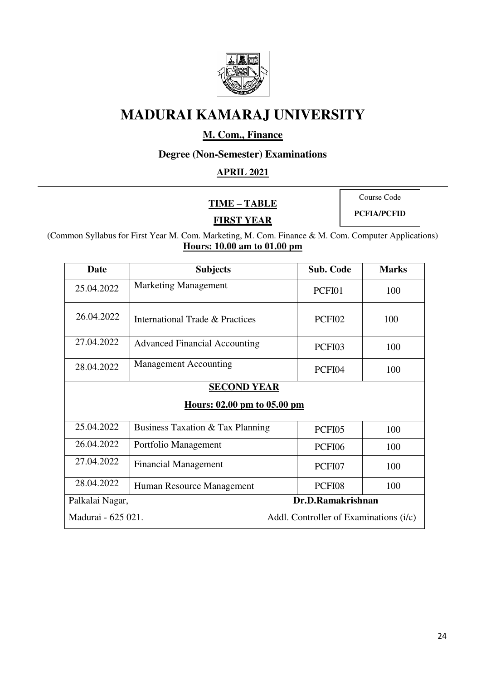

## **M. Com., Finance**

## **Degree (Non-Semester) Examinations**

### **APRIL 2021**

**TIME – TABLE** 

Course Code

**PCFIA/PCFID** 

## **FIRST YEAR**

(Common Syllabus for First Year M. Com. Marketing, M. Com. Finance & M. Com. Computer Applications) **Hours: 10.00 am to 01.00 pm** 

| Date                                                         | <b>Subjects</b>                      | <b>Sub. Code</b> | <b>Marks</b> |  |  |
|--------------------------------------------------------------|--------------------------------------|------------------|--------------|--|--|
| 25.04.2022                                                   | <b>Marketing Management</b>          | PCFI01           | 100          |  |  |
| 26.04.2022                                                   | International Trade & Practices      | PCFI02           | 100          |  |  |
| 27.04.2022                                                   | <b>Advanced Financial Accounting</b> | PCFI03           | 100          |  |  |
| 28.04.2022                                                   | <b>Management Accounting</b>         | PCFI04           | 100          |  |  |
|                                                              | <b>SECOND YEAR</b>                   |                  |              |  |  |
|                                                              | Hours: 02.00 pm to 05.00 pm          |                  |              |  |  |
| 25.04.2022                                                   | Business Taxation & Tax Planning     | PCFI05           | 100          |  |  |
| 26.04.2022                                                   | Portfolio Management                 | PCFI06           | 100          |  |  |
| 27.04.2022                                                   | <b>Financial Management</b>          | PCFI07           | 100          |  |  |
| 28.04.2022                                                   | Human Resource Management            | PCFI08           | 100          |  |  |
| Dr.D.Ramakrishnan<br>Palkalai Nagar,                         |                                      |                  |              |  |  |
| Madurai - 625 021.<br>Addl. Controller of Examinations (i/c) |                                      |                  |              |  |  |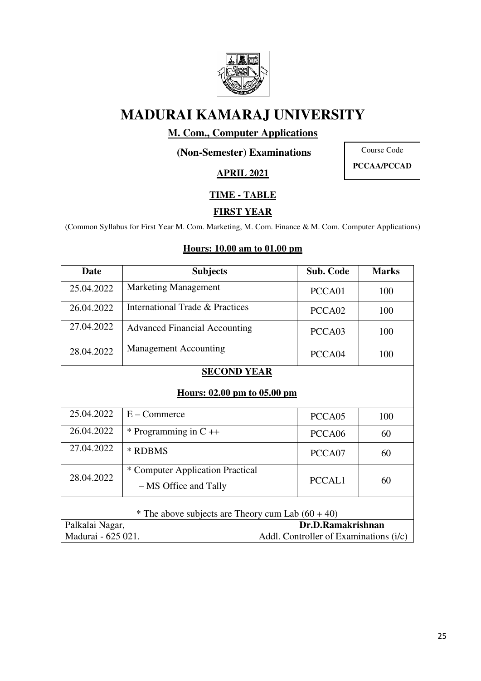

## **M. Com., Computer Applications**

**(Non-Semester) Examinations** 

Course Code **PCCAA/PCCAD** 

**APRIL 2021** 

## **TIME - TABLE**

## **FIRST YEAR**

(Common Syllabus for First Year M. Com. Marketing, M. Com. Finance & M. Com. Computer Applications)

| <b>Date</b>                                                  | <b>Subjects</b>                      | <b>Sub. Code</b>   | <b>Marks</b> |  |
|--------------------------------------------------------------|--------------------------------------|--------------------|--------------|--|
| 25.04.2022                                                   | <b>Marketing Management</b>          | PCCA01             | 100          |  |
| 26.04.2022                                                   | International Trade & Practices      | PCCA <sub>02</sub> | 100          |  |
| 27.04.2022                                                   | <b>Advanced Financial Accounting</b> | PCCA03             | 100          |  |
| 28.04.2022                                                   | <b>Management Accounting</b>         | PCCA04             | 100          |  |
|                                                              | <b>SECOND YEAR</b>                   |                    |              |  |
| <u>Hours: 02.00 pm to 05.00 pm</u>                           |                                      |                    |              |  |
| 25.04.2022                                                   | $E -$ Commerce                       | PCCA05             | 100          |  |
| 26.04.2022                                                   | * Programming in $C +$               | PCCA06             | 60           |  |
| 27.04.2022                                                   | * RDBMS                              | PCCA07             | 60           |  |
| 28.04.2022                                                   | * Computer Application Practical     |                    |              |  |
|                                                              | - MS Office and Tally                | PCCAL1             | 60           |  |
| * The above subjects are Theory cum Lab $(60 + 40)$          |                                      |                    |              |  |
| Dr.D.Ramakrishnan<br>Palkalai Nagar,                         |                                      |                    |              |  |
| Madurai - 625 021.<br>Addl. Controller of Examinations (i/c) |                                      |                    |              |  |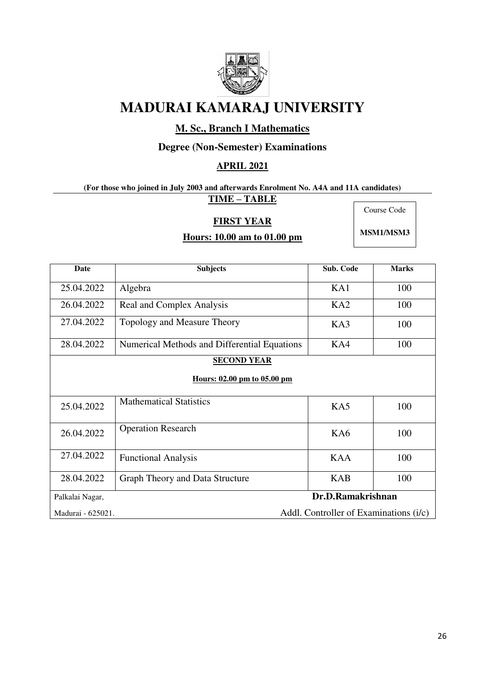

## **M. Sc., Branch I Mathematics**

### **Degree (Non-Semester) Examinations**

#### **APRIL 2021**

## **(For those who joined in July 2003 and afterwards Enrolment No. A4A and 11A candidates)**

**TIME – TABLE** 

#### **FIRST YEAR**

Course Code

# **Hours: 10.00 am to 01.00 pm**

**MSM1/MSM3**

| <b>Date</b>                                                 | <b>Subjects</b>                              | Sub. Code  | <b>Marks</b> |  |
|-------------------------------------------------------------|----------------------------------------------|------------|--------------|--|
| 25.04.2022                                                  | Algebra                                      | KA1        | 100          |  |
| 26.04.2022                                                  | Real and Complex Analysis                    | KA2        | 100          |  |
| 27.04.2022                                                  | Topology and Measure Theory                  | KA3        | 100          |  |
| 28.04.2022                                                  | Numerical Methods and Differential Equations | KA4        | 100          |  |
|                                                             | <b>SECOND YEAR</b>                           |            |              |  |
| Hours: 02.00 pm to 05.00 pm                                 |                                              |            |              |  |
| 25.04.2022                                                  | <b>Mathematical Statistics</b>               | KA5        | 100          |  |
| 26.04.2022                                                  | <b>Operation Research</b>                    | KA6        | 100          |  |
| 27.04.2022                                                  | <b>Functional Analysis</b>                   | <b>KAA</b> | 100          |  |
| 28.04.2022                                                  | Graph Theory and Data Structure              | <b>KAB</b> | 100          |  |
| Palkalai Nagar,                                             | Dr.D.Ramakrishnan                            |            |              |  |
| Addl. Controller of Examinations (i/c)<br>Madurai - 625021. |                                              |            |              |  |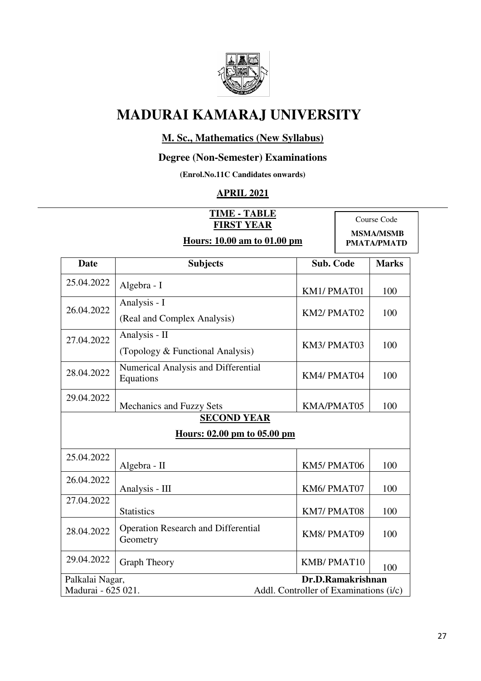

### **M. Sc., Mathematics (New Syllabus)**

#### **Degree (Non-Semester) Examinations**

**(Enrol.No.11C Candidates onwards)** 

## **APRIL 2021**

|                                                                         | AI NIL 4041                                            |                                                |  |              |
|-------------------------------------------------------------------------|--------------------------------------------------------|------------------------------------------------|--|--------------|
| <b>TIME - TABLE</b><br><b>FIRST YEAR</b><br>Hours: 10.00 am to 01.00 pm |                                                        | Course Code<br><b>MSMA/MSMB</b><br>PMATA/PMATD |  |              |
| <b>Date</b>                                                             | <b>Subjects</b>                                        | <b>Sub. Code</b>                               |  | <b>Marks</b> |
| 25.04.2022                                                              | Algebra - I                                            | KM1/PMAT01                                     |  | 100          |
| 26.04.2022                                                              | Analysis - I<br>(Real and Complex Analysis)            | KM2/PMAT02                                     |  | 100          |
| 27.04.2022                                                              | Analysis - II<br>(Topology & Functional Analysis)      | KM3/PMAT03                                     |  | 100          |
| 28.04.2022                                                              | Numerical Analysis and Differential<br>Equations       | KM4/PMAT04                                     |  | 100          |
| 29.04.2022                                                              | <b>Mechanics and Fuzzy Sets</b>                        | KMA/PMAT05                                     |  | 100          |
|                                                                         | <b>SECOND YEAR</b><br>Hours: 02.00 pm to 05.00 pm      |                                                |  |              |
| 25.04.2022                                                              | Algebra - II                                           | KM5/PMAT06                                     |  | 100          |
| 26.04.2022                                                              | Analysis - III                                         | KM6/PMAT07                                     |  | 100          |
| 27.04.2022                                                              | <b>Statistics</b>                                      | KM7/PMAT08                                     |  | 100          |
| 28.04.2022                                                              | <b>Operation Research and Differential</b><br>Geometry | KM8/PMAT09                                     |  | 100          |
|                                                                         |                                                        |                                                |  |              |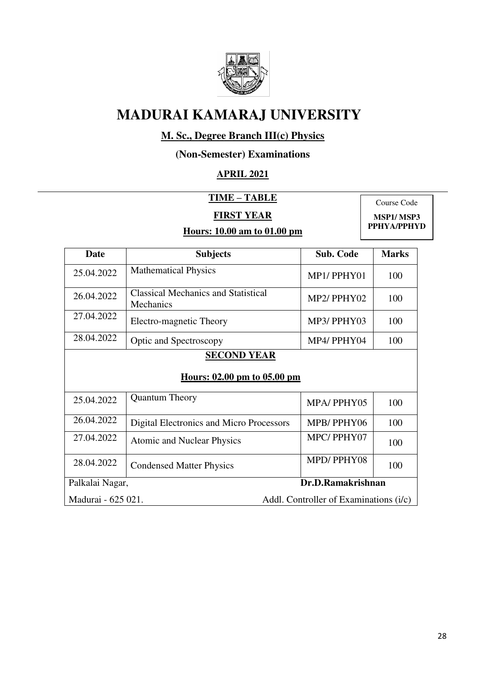

## **M. Sc., Degree Branch III(c) Physics**

### **(Non-Semester) Examinations**

## **APRIL 2021**

**TIME – TABLE** 

### **FIRST YEAR**

### **Hours: 10.00 am to 01.00 pm**

Course Code **MSP1/ MSP3 PPHYA/PPHYD**

| <b>Date</b>                                                  | <b>Subjects</b>                                         | <b>Sub. Code</b> | <b>Marks</b> |
|--------------------------------------------------------------|---------------------------------------------------------|------------------|--------------|
| 25.04.2022                                                   | <b>Mathematical Physics</b>                             | MP1/PPHY01       | 100          |
| 26.04.2022                                                   | <b>Classical Mechanics and Statistical</b><br>Mechanics | MP2/PPHY02       | 100          |
| 27.04.2022                                                   | Electro-magnetic Theory                                 | MP3/PPHY03       | 100          |
| 28.04.2022                                                   | Optic and Spectroscopy                                  | MP4/PPHY04       | 100          |
| <b>SECOND YEAR</b><br>Hours: 02.00 pm to 05.00 pm            |                                                         |                  |              |
| 25.04.2022                                                   | <b>Quantum Theory</b>                                   | MPA/PPHY05       | 100          |
| 26.04.2022                                                   | Digital Electronics and Micro Processors                | MPB/PPHY06       | 100          |
| 27.04.2022                                                   | <b>Atomic and Nuclear Physics</b>                       | MPC/PPHY07       | 100          |
| 28.04.2022                                                   | <b>Condensed Matter Physics</b>                         | MPD/PPHY08       | 100          |
| Dr.D.Ramakrishnan<br>Palkalai Nagar,                         |                                                         |                  |              |
| Madurai - 625 021.<br>Addl. Controller of Examinations (i/c) |                                                         |                  |              |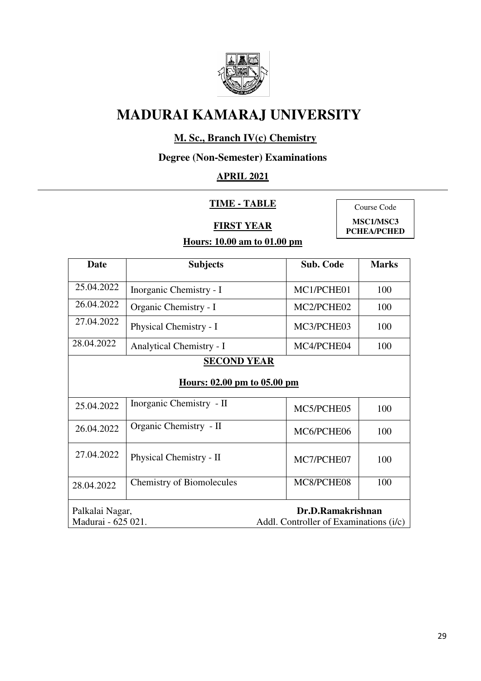

## **M. Sc., Branch IV(c) Chemistry**

## **Degree (Non-Semester) Examinations**

## **APRIL 2021**

### **TIME - TABLE**

**FIRST YEAR** 

Course Code **MSC1/MSC3** 

**PCHEA/PCHED** 

| <b>Date</b>                           | <b>Subjects</b>                  | <b>Sub. Code</b>                                            | <b>Marks</b> |
|---------------------------------------|----------------------------------|-------------------------------------------------------------|--------------|
| 25.04.2022                            | Inorganic Chemistry - I          | MC1/PCHE01                                                  | 100          |
| 26.04.2022                            | Organic Chemistry - I            | MC2/PCHE02                                                  | 100          |
| 27.04.2022                            | Physical Chemistry - I           | MC3/PCHE03                                                  | 100          |
| 28.04.2022                            | <b>Analytical Chemistry - I</b>  | MC4/PCHE04                                                  | 100          |
|                                       | <b>SECOND YEAR</b>               |                                                             |              |
|                                       | Hours: 02.00 pm to 05.00 pm      |                                                             |              |
| 25.04.2022                            | Inorganic Chemistry - II         | MC5/PCHE05                                                  | 100          |
| 26.04.2022                            | Organic Chemistry - II           | MC6/PCHE06                                                  | 100          |
| 27.04.2022                            | Physical Chemistry - II          | MC7/PCHE07                                                  | 100          |
| 28.04.2022                            | <b>Chemistry of Biomolecules</b> | MC8/PCHE08                                                  | 100          |
| Palkalai Nagar,<br>Madurai - 625 021. |                                  | Dr.D.Ramakrishnan<br>Addl. Controller of Examinations (i/c) |              |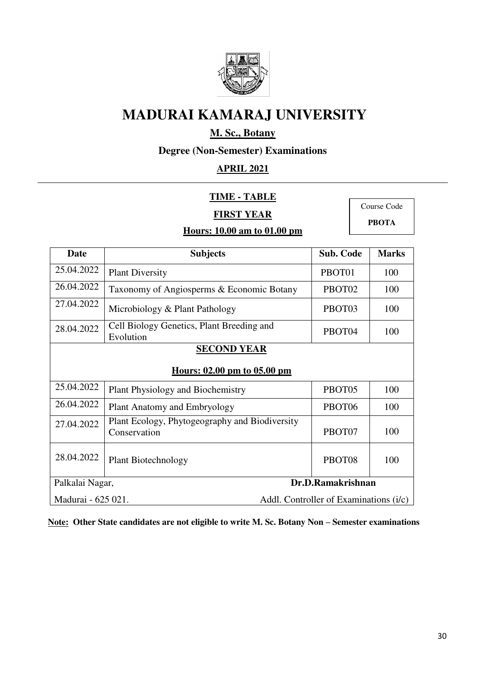

## **M. Sc., Botany**

**Degree (Non-Semester) Examinations** 

## **APRIL 2021**

#### **TIME - TABLE**

### **FIRST YEAR**

Course Code **PBOTA**

### **Hours: 10.00 am to 01.00 pm**

| Date       | <b>Subjects</b>                                                | <b>Sub. Code</b>   | <b>Marks</b> |  |
|------------|----------------------------------------------------------------|--------------------|--------------|--|
| 25.04.2022 | <b>Plant Diversity</b>                                         | PBOT01             | 100          |  |
| 26.04.2022 | Taxonomy of Angiosperms & Economic Botany                      | PBOT <sub>02</sub> | 100          |  |
| 27.04.2022 | Microbiology & Plant Pathology                                 | PBOT03             | 100          |  |
| 28.04.2022 | Cell Biology Genetics, Plant Breeding and<br>Evolution         | PBOT04             | 100          |  |
|            | <b>SECOND YEAR</b>                                             |                    |              |  |
|            | <u>Hours: 02.00 pm to 05.00 pm</u>                             |                    |              |  |
| 25.04.2022 | <b>Plant Physiology and Biochemistry</b>                       | PBOT <sub>05</sub> | 100          |  |
| 26.04.2022 | Plant Anatomy and Embryology                                   | PBOT06             | 100          |  |
| 27.04.2022 | Plant Ecology, Phytogeography and Biodiversity<br>Conservation | PBOT07             | 100          |  |
| 28.04.2022 | <b>Plant Biotechnology</b>                                     | PBOT08             | 100          |  |
|            | Dr.D.Ramakrishnan<br>Palkalai Nagar,                           |                    |              |  |
|            | Madurai - 625 021.<br>Addl. Controller of Examinations (i/c)   |                    |              |  |

**Note: Other State candidates are not eligible to write M. Sc. Botany Non – Semester examinations**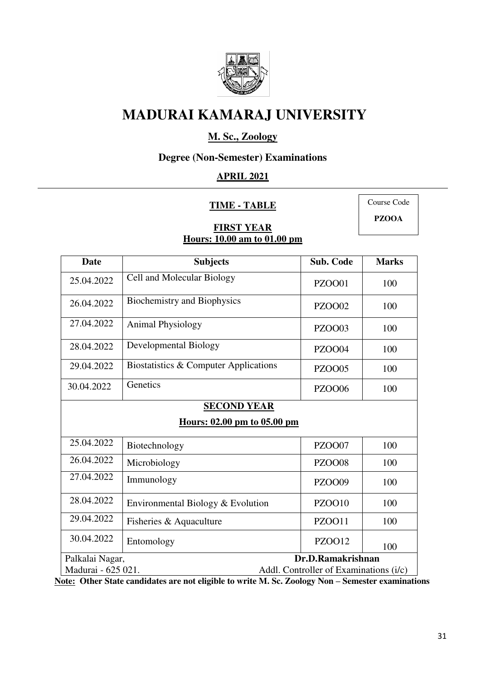

## **M. Sc., Zoology**

### **Degree (Non-Semester) Examinations**

## **APRIL 2021**

#### **TIME - TABLE**

Course Code **PZOOA**

#### **FIRST YEAR Hours: 10.00 am to 01.00 pm**

| <b>Date</b>                                                  | <b>Subjects</b>                       | Sub. Code     | <b>Marks</b> |
|--------------------------------------------------------------|---------------------------------------|---------------|--------------|
| 25.04.2022                                                   | Cell and Molecular Biology            | <b>PZOO01</b> | 100          |
| 26.04.2022                                                   | <b>Biochemistry and Biophysics</b>    | <b>PZOO02</b> | 100          |
| 27.04.2022                                                   | <b>Animal Physiology</b>              | <b>PZOO03</b> | 100          |
| 28.04.2022                                                   | Developmental Biology                 | <b>PZOO04</b> | 100          |
| 29.04.2022                                                   | Biostatistics & Computer Applications | <b>PZOO05</b> | 100          |
| 30.04.2022                                                   | Genetics                              | <b>PZOO06</b> | 100          |
|                                                              | <b>SECOND YEAR</b>                    |               |              |
|                                                              | Hours: 02.00 pm to 05.00 pm           |               |              |
| 25.04.2022                                                   | Biotechnology                         | <b>PZOO07</b> | 100          |
| 26.04.2022                                                   | Microbiology                          | <b>PZOO08</b> | 100          |
| 27.04.2022                                                   | Immunology                            | <b>PZOO09</b> | 100          |
| 28.04.2022                                                   | Environmental Biology & Evolution     | PZOO10        | 100          |
| 29.04.2022                                                   | Fisheries & Aquaculture               | <b>PZOO11</b> | 100          |
| 30.04.2022                                                   | Entomology                            | <b>PZOO12</b> | 100          |
| Dr.D.Ramakrishnan<br>Palkalai Nagar,                         |                                       |               |              |
| Madurai - 625 021.<br>Addl. Controller of Examinations (i/c) |                                       |               |              |

**Note: Other State candidates are not eligible to write M. Sc. Zoology Non – Semester examinations**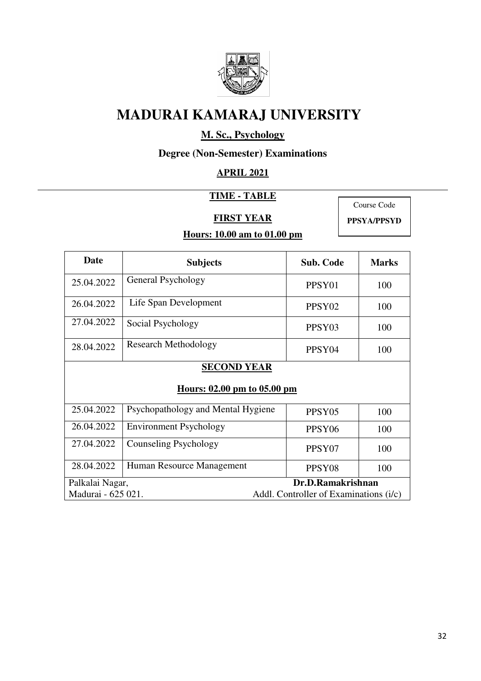

## **M. Sc., Psychology**

## **Degree (Non-Semester) Examinations**

#### **APRIL 2021**

### **TIME - TABLE**

### **FIRST YEAR**

Course Code **PPSYA/PPSYD**

| Date               | <b>Subjects</b>                    | <b>Sub. Code</b>                       | <b>Marks</b> |  |  |
|--------------------|------------------------------------|----------------------------------------|--------------|--|--|
| 25.04.2022         | General Psychology                 | PPSY <sub>01</sub>                     | 100          |  |  |
| 26.04.2022         | Life Span Development              | PPSY <sub>02</sub>                     | 100          |  |  |
| 27.04.2022         | Social Psychology                  | PPSY03                                 | 100          |  |  |
| 28.04.2022         | <b>Research Methodology</b>        | PPSY <sub>04</sub>                     | 100          |  |  |
|                    | <b>SECOND YEAR</b>                 |                                        |              |  |  |
|                    | <u>Hours: 02.00 pm to 05.00 pm</u> |                                        |              |  |  |
| 25.04.2022         | Psychopathology and Mental Hygiene | PPSY <sub>05</sub>                     | 100          |  |  |
| 26.04.2022         | <b>Environment Psychology</b>      | PPSY <sub>06</sub>                     | 100          |  |  |
| 27.04.2022         | Counseling Psychology              | PPSY07                                 | 100          |  |  |
| 28.04.2022         | Human Resource Management          | PPSY08                                 | 100          |  |  |
| Palkalai Nagar,    |                                    | Dr.D.Ramakrishnan                      |              |  |  |
| Madurai - 625 021. |                                    | Addl. Controller of Examinations (i/c) |              |  |  |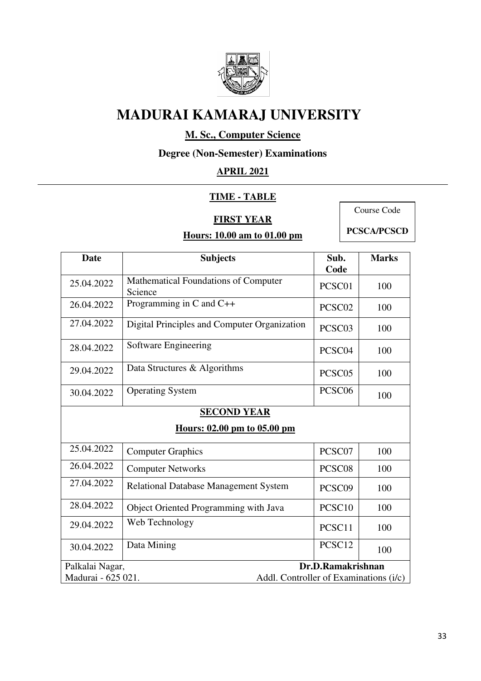

## **M. Sc., Computer Science**

**Degree (Non-Semester) Examinations** 

## **APRIL 2021**

### **TIME - TABLE**

#### **FIRST YEAR**

### **Hours: 10.00 am to 01.00 pm**

Course Code

| <b>Date</b>                                                  | <b>Subjects</b>                                 | Sub.<br>Code       | <b>Marks</b> |
|--------------------------------------------------------------|-------------------------------------------------|--------------------|--------------|
| 25.04.2022                                                   | Mathematical Foundations of Computer<br>Science | PCSC01             | 100          |
| 26.04.2022                                                   | Programming in $C$ and $C++$                    | PCSC02             | 100          |
| 27.04.2022                                                   | Digital Principles and Computer Organization    | PCSC <sub>03</sub> | 100          |
| 28.04.2022                                                   | Software Engineering                            | PCSC04             | 100          |
| 29.04.2022                                                   | Data Structures & Algorithms                    | PCSC <sub>05</sub> | 100          |
| 30.04.2022                                                   | <b>Operating System</b>                         | PCSC06             | 100          |
|                                                              | <b>SECOND YEAR</b>                              |                    |              |
|                                                              | Hours: 02.00 pm to 05.00 pm                     |                    |              |
| 25.04.2022                                                   | <b>Computer Graphics</b>                        | PCSC07             | 100          |
| 26.04.2022                                                   | <b>Computer Networks</b>                        | PCSC08             | 100          |
| 27.04.2022                                                   | Relational Database Management System           | PCSC09             | 100          |
| 28.04.2022                                                   | Object Oriented Programming with Java           | PCSC <sub>10</sub> | 100          |
| 29.04.2022                                                   | Web Technology                                  | PCSC11             | 100          |
| 30.04.2022                                                   | Data Mining                                     | PCSC12             | 100          |
|                                                              | Dr.D.Ramakrishnan<br>Palkalai Nagar,            |                    |              |
| Madurai - 625 021.<br>Addl. Controller of Examinations (i/c) |                                                 |                    |              |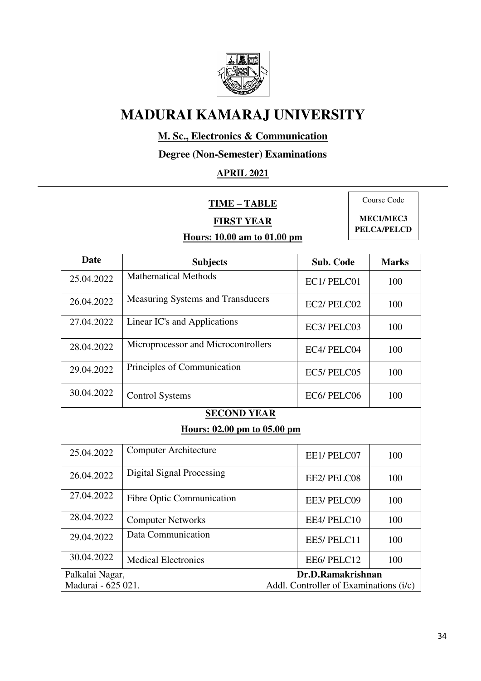

## **M. Sc., Electronics & Communication**

**Degree (Non-Semester) Examinations** 

## **APRIL 2021**

**TIME – TABLE** 

Course Code

## **FIRST YEAR Hours: 10.00 am to 01.00 pm**

**MEC1/MEC3** 

**PELCA/PELCD**

| Date                                                         | <b>Subjects</b>                                   | <b>Sub. Code</b>  | <b>Marks</b> |  |
|--------------------------------------------------------------|---------------------------------------------------|-------------------|--------------|--|
| 25.04.2022                                                   | <b>Mathematical Methods</b>                       | EC1/PELC01        | 100          |  |
| 26.04.2022                                                   | Measuring Systems and Transducers                 | EC2/PELC02        | 100          |  |
| 27.04.2022                                                   | Linear IC's and Applications                      | EC3/PELC03        | 100          |  |
| 28.04.2022                                                   | Microprocessor and Microcontrollers               | EC4/PELC04        | 100          |  |
| 29.04.2022                                                   | Principles of Communication                       | EC5/PELC05        | 100          |  |
| 30.04.2022                                                   | <b>Control Systems</b>                            | EC6/PELC06        | 100          |  |
|                                                              | <b>SECOND YEAR</b><br>Hours: 02.00 pm to 05.00 pm |                   |              |  |
| 25.04.2022                                                   | <b>Computer Architecture</b>                      | EE1/PELC07        | 100          |  |
| 26.04.2022                                                   | <b>Digital Signal Processing</b>                  | EE2/PELC08        | 100          |  |
| 27.04.2022                                                   | Fibre Optic Communication                         | EE3/ PELC09       | 100          |  |
| 28.04.2022                                                   | <b>Computer Networks</b>                          | EE4/PELC10        | 100          |  |
| 29.04.2022                                                   | Data Communication                                | EE5/PELC11        | 100          |  |
| 30.04.2022                                                   | <b>Medical Electronics</b>                        | EE6/PELC12        | 100          |  |
| Palkalai Nagar,                                              |                                                   | Dr.D.Ramakrishnan |              |  |
| Madurai - 625 021.<br>Addl. Controller of Examinations (i/c) |                                                   |                   |              |  |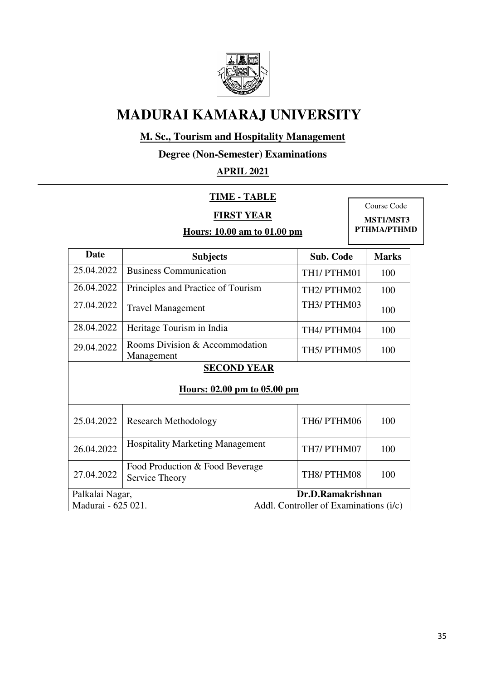

## **M. Sc., Tourism and Hospitality Management**

**Degree (Non-Semester) Examinations** 

### **APRIL 2021**

### **TIME - TABLE**

### **FIRST YEAR**

**Hours: 10.00 am to 01.00 pm** 

Course Code  **MST1/MST3 PTHMA/PTHMD** 

| Date                                              | <b>Subjects</b>                                   | <b>Sub. Code</b>                       | <b>Marks</b> |
|---------------------------------------------------|---------------------------------------------------|----------------------------------------|--------------|
| 25.04.2022                                        | <b>Business Communication</b>                     | TH1/PTHM01                             | 100          |
| 26.04.2022                                        | Principles and Practice of Tourism                | TH <sub>2</sub> / PTHM <sub>02</sub>   | 100          |
| 27.04.2022                                        | <b>Travel Management</b>                          | TH3/PTHM03                             | 100          |
| 28.04.2022                                        | Heritage Tourism in India                         | TH4/ PTHM04                            | 100          |
| 29.04.2022                                        | Rooms Division & Accommodation<br>Management      | TH5/PTHM05                             | 100          |
| <b>SECOND YEAR</b><br>Hours: 02.00 pm to 05.00 pm |                                                   |                                        |              |
| 25.04.2022                                        | <b>Research Methodology</b>                       | TH6/PTHM06                             | 100          |
| 26.04.2022                                        | <b>Hospitality Marketing Management</b>           | TH7/PTHM07                             | 100          |
| 27.04.2022                                        | Food Production & Food Beverage<br>Service Theory | TH8/PTHM08                             | 100          |
| Palkalai Nagar,                                   |                                                   | Dr.D.Ramakrishnan                      |              |
| Madurai - 625 021.                                |                                                   | Addl. Controller of Examinations (i/c) |              |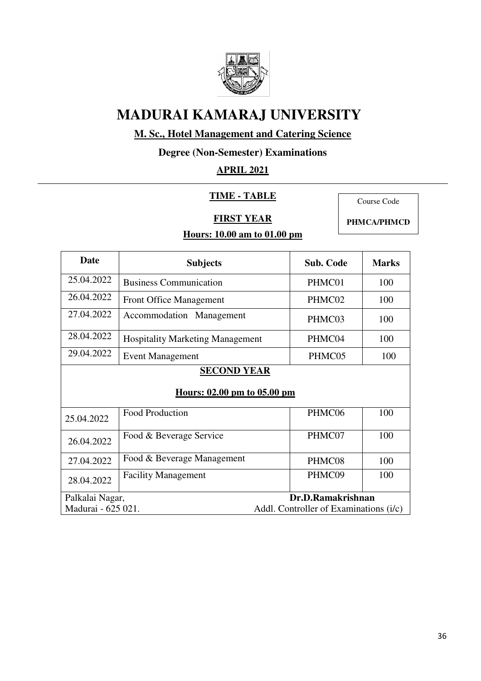

## **M. Sc., Hotel Management and Catering Science**

**Degree (Non-Semester) Examinations** 

## **APRIL 2021**

#### **TIME - TABLE**

Course Code

### **FIRST YEAR**

**Hours: 10.00 am to 01.00 pm** 

**PHMCA/PHMCD** 

| Date                                              | <b>Subjects</b>                         | <b>Sub. Code</b>                       | <b>Marks</b> |  |
|---------------------------------------------------|-----------------------------------------|----------------------------------------|--------------|--|
| 25.04.2022                                        | <b>Business Communication</b>           | PHMC01                                 | 100          |  |
| 26.04.2022                                        | <b>Front Office Management</b>          | PHMC02                                 | 100          |  |
| 27.04.2022                                        | Accommodation Management                | PHMC03                                 | 100          |  |
| 28.04.2022                                        | <b>Hospitality Marketing Management</b> | PHMC04                                 | 100          |  |
| 29.04.2022                                        | <b>Event Management</b>                 | PHMC05                                 | 100          |  |
| <b>SECOND YEAR</b><br>Hours: 02.00 pm to 05.00 pm |                                         |                                        |              |  |
| 25.04.2022                                        | <b>Food Production</b>                  | PHMC06                                 | 100          |  |
| 26.04.2022                                        | Food & Beverage Service                 | PHMC07                                 | 100          |  |
| 27.04.2022                                        | Food & Beverage Management              | PHMC08                                 | 100          |  |
| 28.04.2022                                        | <b>Facility Management</b>              | PHMC09                                 | 100          |  |
| Palkalai Nagar,                                   |                                         | Dr.D.Ramakrishnan                      |              |  |
| Madurai - 625 021.                                |                                         | Addl. Controller of Examinations (i/c) |              |  |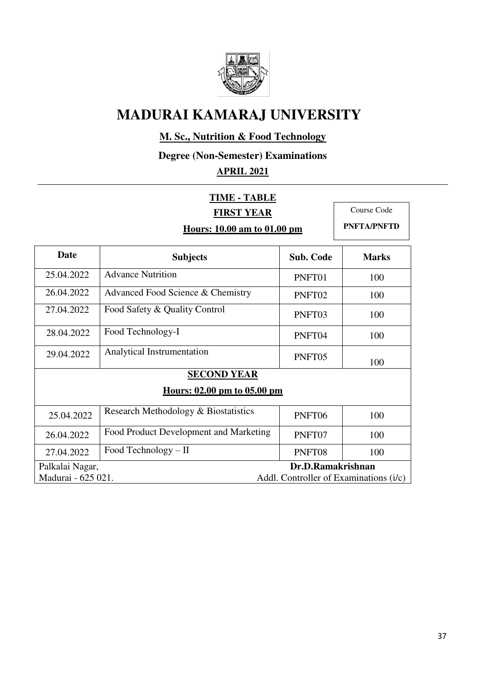

## **M. Sc., Nutrition & Food Technology**

**Degree (Non-Semester) Examinations** 

## **APRIL 2021**

|                                      | <b>TIME - TABLE</b>                    |                  |                                        |
|--------------------------------------|----------------------------------------|------------------|----------------------------------------|
| <b>FIRST YEAR</b>                    |                                        | Course Code      |                                        |
| Hours: 10.00 am to 01.00 pm          |                                        |                  | <b>PNFTA/PNFTD</b>                     |
| <b>Date</b>                          | <b>Subjects</b>                        | <b>Sub. Code</b> | <b>Marks</b>                           |
| 25.04.2022                           | <b>Advance Nutrition</b>               | PNFT01           | 100                                    |
| 26.04.2022                           | Advanced Food Science & Chemistry      | PNFT02           | 100                                    |
| 27.04.2022                           | Food Safety & Quality Control          | PNFT03           | 100                                    |
| 28.04.2022                           | Food Technology-I                      | PNFT04           | 100                                    |
| 29.04.2022                           | Analytical Instrumentation             | PNFT05           | 100                                    |
| <b>SECOND YEAR</b>                   |                                        |                  |                                        |
| Hours: 02.00 pm to 05.00 pm          |                                        |                  |                                        |
| 25.04.2022                           | Research Methodology & Biostatistics   | PNFT06           | 100                                    |
| 26.04.2022                           | Food Product Development and Marketing | PNFT07           | 100                                    |
| 27.04.2022                           | Food Technology - II                   | PNFT08           | 100                                    |
| Dr.D.Ramakrishnan<br>Palkalai Nagar, |                                        |                  |                                        |
| Madurai - 625 021.                   |                                        |                  | Addl. Controller of Examinations (i/c) |